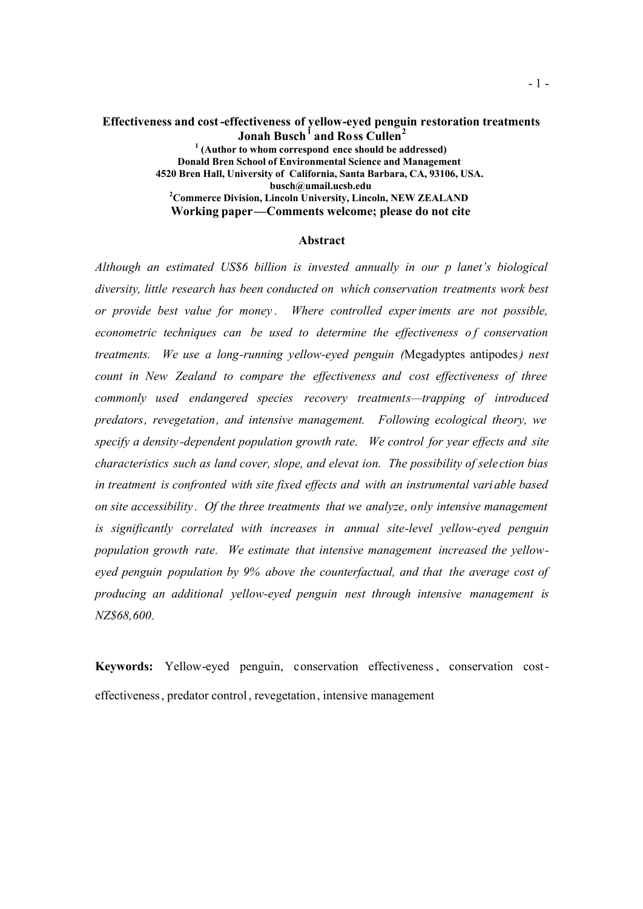#### **Effectiveness and cost-effectiveness of yellow-eyed penguin restoration treatments Jonah Busch<sup>1</sup> and Ross Cullen<sup>2</sup> 1 (Author to whom correspond ence should be addressed) Donald Bren School of Environmental Science and Management 4520 Bren Hall, University of California, Santa Barbara, CA, 93106, USA. busch@umail.ucsb.edu <sup>2</sup>Commerce Division, Lincoln University, Lincoln, NEW ZEALAND Working paper—Comments welcome; please do not cite**

#### **Abstract**

*Although an estimated US\$6 billion is invested annually in our p lanet's biological diversity, little research has been conducted on which conservation treatments work best or provide best value for money . Where controlled experiments are not possible, econometric techniques can be used to determine the effectiveness of conservation treatments. We use a long-running yellow-eyed penguin (*Megadyptes antipodes*) nest count in New Zealand to compare the effectiveness and cost effectiveness of three commonly used endangered species recovery treatments—trapping of introduced predators, revegetation, and intensive management. Following ecological theory, we specify a density -dependent population growth rate. We control for year effects and site characteristics such as land cover, slope, and elevat ion. The possibility of sele ction bias in treatment is confronted with site fixed effects and with an instrumental variable based on site accessibility . Of the three treatments that we analyze, only intensive management is significantly correlated with increases in annual site-level yellow-eyed penguin population growth rate. We estimate that intensive management increased the yelloweyed penguin population by 9% above the counterfactual, and that the average cost of producing an additional yellow-eyed penguin nest through intensive management is NZ\$68,600.*

**Keywords:** Yellow-eyed penguin, conservation effectiveness , conservation costeffectiveness, predator control, revegetation, intensive management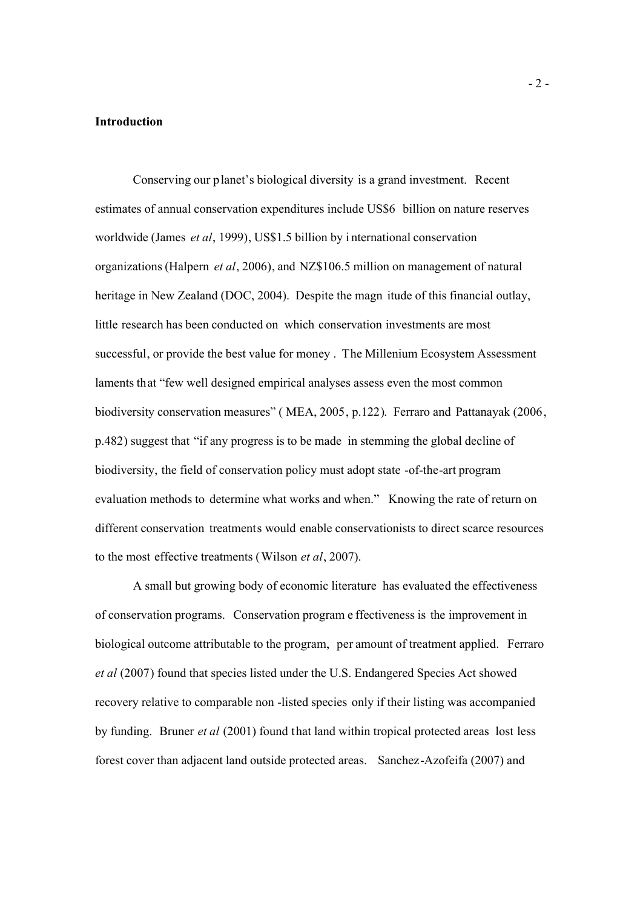### **Introduction**

Conserving our planet's biological diversity is a grand investment. Recent estimates of annual conservation expenditures include US\$6 billion on nature reserves worldwide (James *et al*, 1999), US\$1.5 billion by i nternational conservation organizations (Halpern *et al*, 2006), and NZ\$106.5 million on management of natural heritage in New Zealand (DOC, 2004). Despite the magn itude of this financial outlay, little research has been conducted on which conservation investments are most successful, or provide the best value for money . The Millenium Ecosystem Assessment laments that "few well designed empirical analyses assess even the most common biodiversity conservation measures" ( MEA, 2005, p.122). Ferraro and Pattanayak (2006, p.482) suggest that "if any progress is to be made in stemming the global decline of biodiversity, the field of conservation policy must adopt state -of-the-art program evaluation methods to determine what works and when." Knowing the rate of return on different conservation treatments would enable conservationists to direct scarce resources to the most effective treatments (Wilson *et al*, 2007).

A small but growing body of economic literature has evaluated the effectiveness of conservation programs. Conservation program e ffectiveness is the improvement in biological outcome attributable to the program, per amount of treatment applied. Ferraro *et al* (2007) found that species listed under the U.S. Endangered Species Act showed recovery relative to comparable non -listed species only if their listing was accompanied by funding. Bruner *et al* (2001) found that land within tropical protected areas lost less forest cover than adjacent land outside protected areas. Sanchez-Azofeifa (2007) and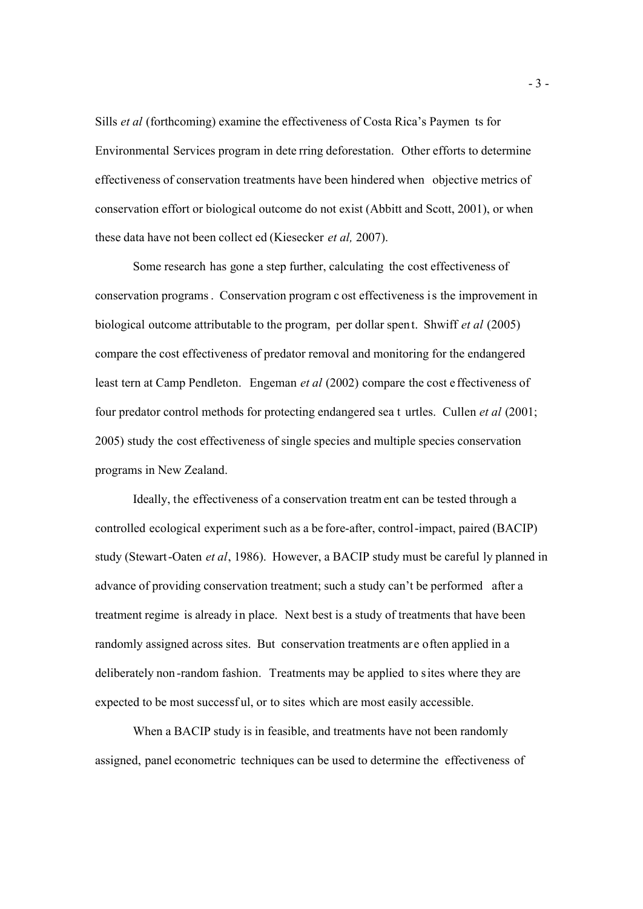Sills *et al* (forthcoming) examine the effectiveness of Costa Rica's Paymen ts for Environmental Services program in dete rring deforestation. Other efforts to determine effectiveness of conservation treatments have been hindered when objective metrics of conservation effort or biological outcome do not exist (Abbitt and Scott, 2001), or when these data have not been collect ed (Kiesecker *et al,* 2007).

Some research has gone a step further, calculating the cost effectiveness of conservation programs. Conservation program c ost effectiveness is the improvement in biological outcome attributable to the program, per dollar spent. Shwiff *et al* (2005) compare the cost effectiveness of predator removal and monitoring for the endangered least tern at Camp Pendleton. Engeman *et al* (2002) compare the cost e ffectiveness of four predator control methods for protecting endangered sea t urtles. Cullen *et al* (2001; 2005) study the cost effectiveness of single species and multiple species conservation programs in New Zealand.

Ideally, the effectiveness of a conservation treatm ent can be tested through a controlled ecological experiment such as a be fore-after, control-impact, paired (BACIP) study (Stewart-Oaten *et al*, 1986). However, a BACIP study must be careful ly planned in advance of providing conservation treatment; such a study can't be performed after a treatment regime is already in place. Next best is a study of treatments that have been randomly assigned across sites. But conservation treatments ar e often applied in a deliberately non -random fashion. Treatments may be applied to sites where they are expected to be most successf ul, or to sites which are most easily accessible.

When a BACIP study is in feasible, and treatments have not been randomly assigned, panel econometric techniques can be used to determine the effectiveness of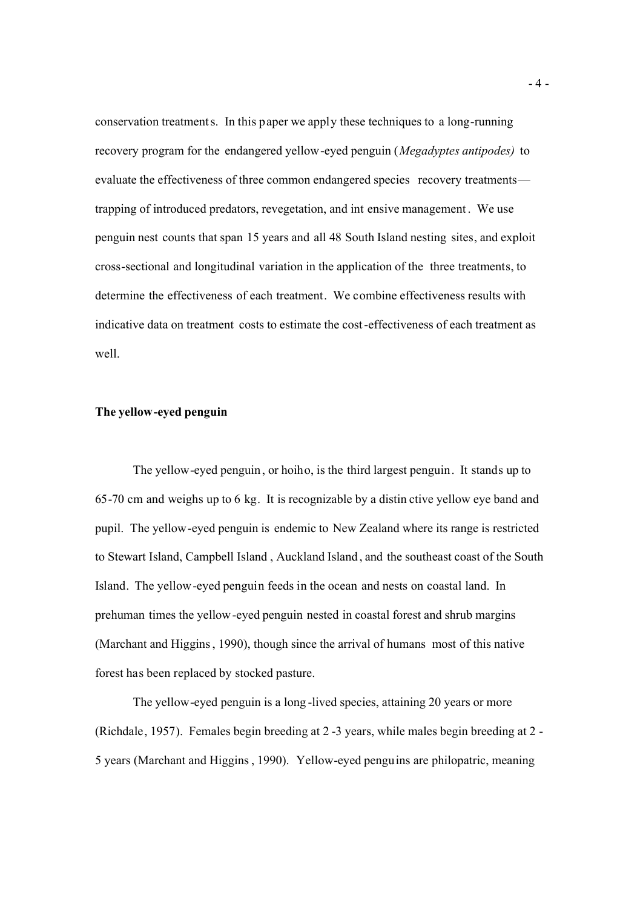conservation treatments. In this paper we apply these techniques to a long-running recovery program for the endangered yellow-eyed penguin (*Megadyptes antipodes)* to evaluate the effectiveness of three common endangered species recovery treatments trapping of introduced predators, revegetation, and int ensive management . We use penguin nest counts that span 15 years and all 48 South Island nesting sites, and exploit cross-sectional and longitudinal variation in the application of the three treatments, to determine the effectiveness of each treatment. We combine effectiveness results with indicative data on treatment costs to estimate the cost-effectiveness of each treatment as well.

# **The yellow-eyed penguin**

The yellow-eyed penguin, or hoiho, is the third largest penguin. It stands up to 65-70 cm and weighs up to 6 kg. It is recognizable by a distin ctive yellow eye band and pupil. The yellow-eyed penguin is endemic to New Zealand where its range is restricted to Stewart Island, Campbell Island , Auckland Island , and the southeast coast of the South Island. The yellow-eyed penguin feeds in the ocean and nests on coastal land. In prehuman times the yellow-eyed penguin nested in coastal forest and shrub margins (Marchant and Higgins, 1990), though since the arrival of humans most of this native forest has been replaced by stocked pasture.

The yellow-eyed penguin is a long -lived species, attaining 20 years or more (Richdale, 1957). Females begin breeding at 2 -3 years, while males begin breeding at 2 - 5 years (Marchant and Higgins , 1990). Yellow-eyed penguins are philopatric, meaning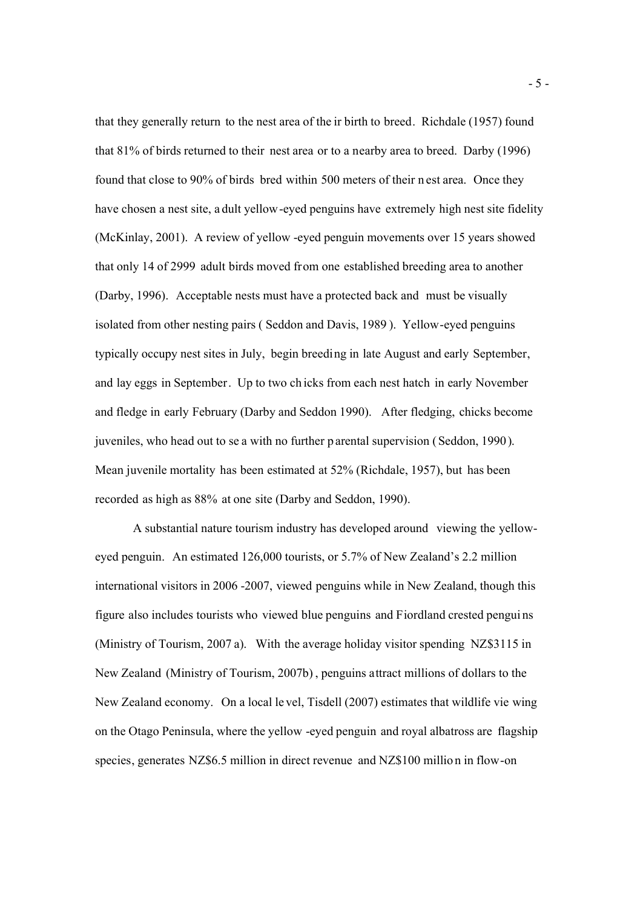that they generally return to the nest area of the ir birth to breed. Richdale (1957) found that 81% of birds returned to their nest area or to a nearby area to breed. Darby (1996) found that close to 90% of birds bred within 500 meters of their n est area. Once they have chosen a nest site, a dult yellow-eyed penguins have extremely high nest site fidelity (McKinlay, 2001). A review of yellow -eyed penguin movements over 15 years showed that only 14 of 2999 adult birds moved from one established breeding area to another (Darby, 1996). Acceptable nests must have a protected back and must be visually isolated from other nesting pairs ( Seddon and Davis, 1989 ). Yellow-eyed penguins typically occupy nest sites in July, begin breeding in late August and early September, and lay eggs in September. Up to two ch icks from each nest hatch in early November and fledge in early February (Darby and Seddon 1990). After fledging, chicks become juveniles, who head out to se a with no further p arental supervision (Seddon, 1990). Mean juvenile mortality has been estimated at 52% (Richdale, 1957), but has been recorded as high as 88% at one site (Darby and Seddon, 1990).

A substantial nature tourism industry has developed around viewing the yelloweyed penguin. An estimated 126,000 tourists, or 5.7% of New Zealand's 2.2 million international visitors in 2006 -2007, viewed penguins while in New Zealand, though this figure also includes tourists who viewed blue penguins and Fiordland crested pengui ns (Ministry of Tourism, 2007 a). With the average holiday visitor spending NZ\$3115 in New Zealand (Ministry of Tourism, 2007b) , penguins attract millions of dollars to the New Zealand economy. On a local le vel, Tisdell (2007) estimates that wildlife vie wing on the Otago Peninsula, where the yellow -eyed penguin and royal albatross are flagship species, generates NZ\$6.5 million in direct revenue and NZ\$100 millio n in flow-on

- 5 -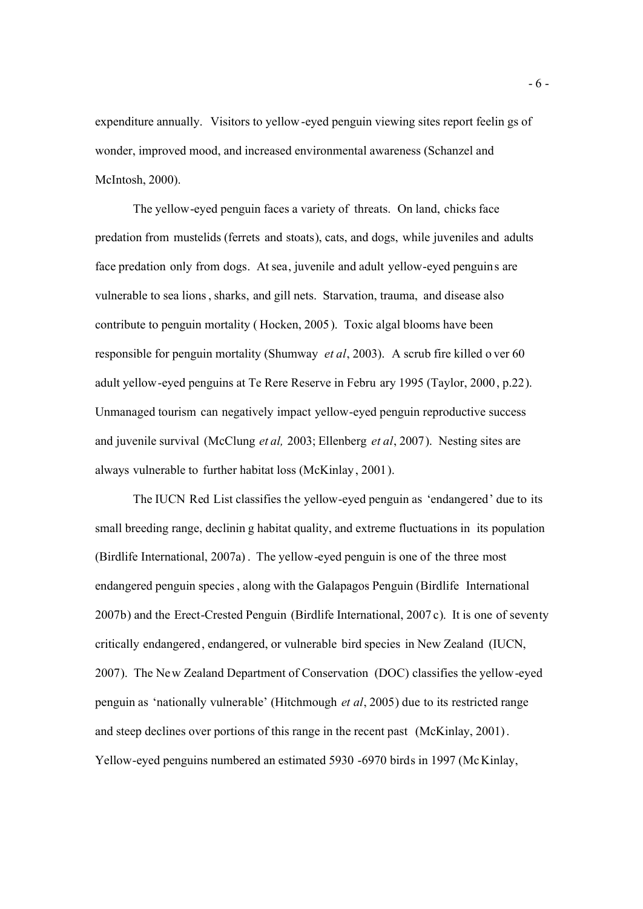expenditure annually. Visitors to yellow-eyed penguin viewing sites report feelin gs of wonder, improved mood, and increased environmental awareness (Schanzel and McIntosh, 2000).

The yellow-eyed penguin faces a variety of threats. On land, chicks face predation from mustelids (ferrets and stoats), cats, and dogs, while juveniles and adults face predation only from dogs. At sea, juvenile and adult yellow-eyed penguins are vulnerable to sea lions, sharks, and gill nets. Starvation, trauma, and disease also contribute to penguin mortality ( Hocken, 2005). Toxic algal blooms have been responsible for penguin mortality (Shumway *et al*, 2003). A scrub fire killed o ver 60 adult yellow-eyed penguins at Te Rere Reserve in Febru ary 1995 (Taylor, 2000, p.22). Unmanaged tourism can negatively impact yellow-eyed penguin reproductive success and juvenile survival (McClung *et al,* 2003; Ellenberg *et al*, 2007). Nesting sites are always vulnerable to further habitat loss (McKinlay, 2001).

The IUCN Red List classifies the yellow-eyed penguin as 'endangered' due to its small breeding range, declinin g habitat quality, and extreme fluctuations in its population (Birdlife International, 2007a) . The yellow-eyed penguin is one of the three most endangered penguin species , along with the Galapagos Penguin (Birdlife International 2007b) and the Erect-Crested Penguin (Birdlife International, 2007 c). It is one of seventy critically endangered, endangered, or vulnerable bird species in New Zealand (IUCN, 2007). The New Zealand Department of Conservation (DOC) classifies the yellow-eyed penguin as 'nationally vulnerable' (Hitchmough *et al*, 2005) due to its restricted range and steep declines over portions of this range in the recent past (McKinlay, 2001). Yellow-eyed penguins numbered an estimated 5930 -6970 birds in 1997 (McKinlay,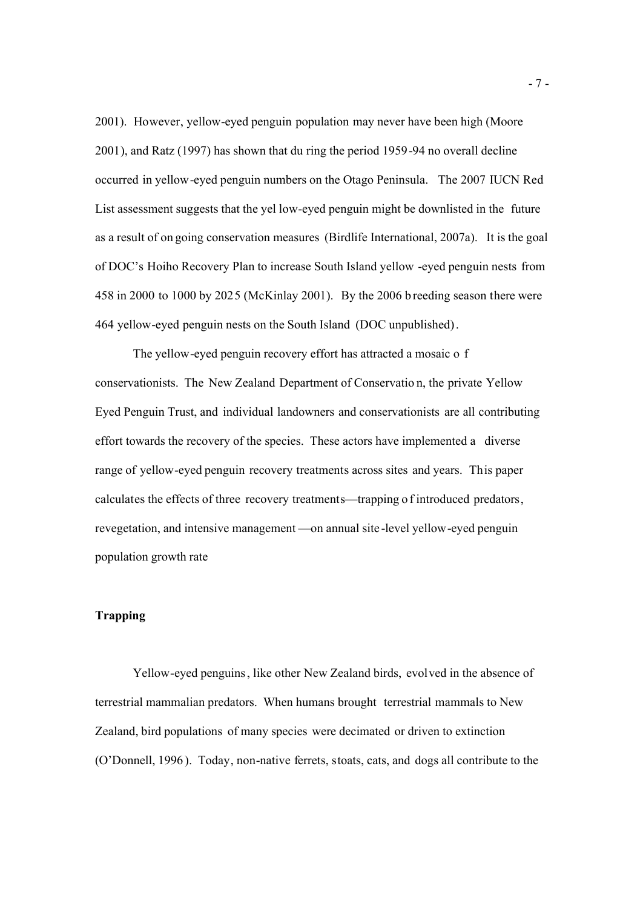2001). However, yellow-eyed penguin population may never have been high (Moore 2001), and Ratz (1997) has shown that du ring the period 1959-94 no overall decline occurred in yellow-eyed penguin numbers on the Otago Peninsula. The 2007 IUCN Red List assessment suggests that the yel low-eyed penguin might be downlisted in the future as a result of on going conservation measures (Birdlife International, 2007a). It is the goal of DOC's Hoiho Recovery Plan to increase South Island yellow -eyed penguin nests from 458 in 2000 to 1000 by 2025 (McKinlay 2001). By the 2006 b reeding season there were 464 yellow-eyed penguin nests on the South Island (DOC unpublished).

The yellow-eyed penguin recovery effort has attracted a mosaic o f conservationists. The New Zealand Department of Conservatio n, the private Yellow Eyed Penguin Trust, and individual landowners and conservationists are all contributing effort towards the recovery of the species. These actors have implemented a diverse range of yellow-eyed penguin recovery treatments across sites and years. This paper calculates the effects of three recovery treatments—trapping o f introduced predators, revegetation, and intensive management —on annual site -level yellow-eyed penguin population growth rate

# **Trapping**

Yellow-eyed penguins, like other New Zealand birds, evolved in the absence of terrestrial mammalian predators. When humans brought terrestrial mammals to New Zealand, bird populations of many species were decimated or driven to extinction (O'Donnell, 1996 ). Today, non-native ferrets, stoats, cats, and dogs all contribute to the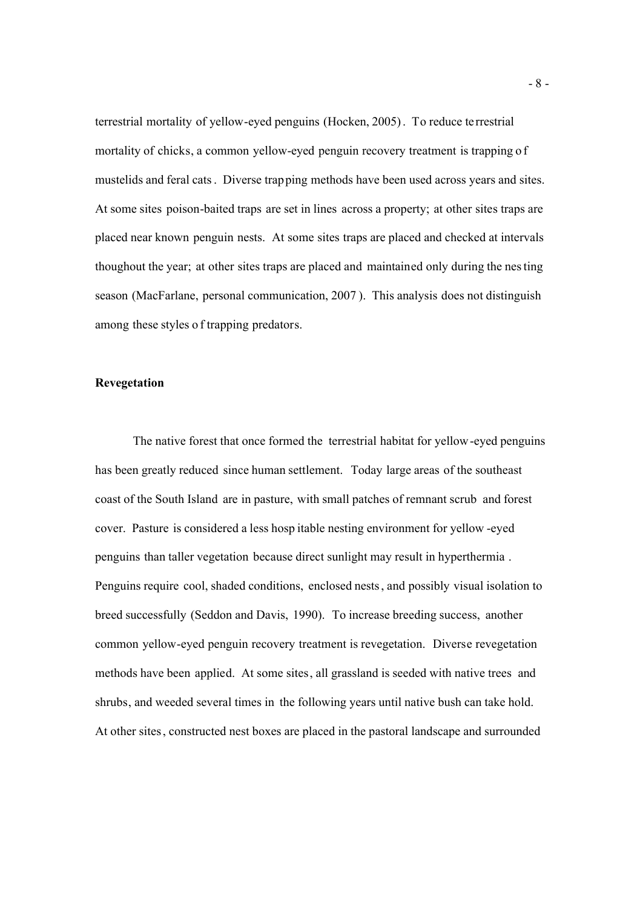terrestrial mortality of yellow-eyed penguins (Hocken, 2005). To reduce te rrestrial mortality of chicks, a common yellow-eyed penguin recovery treatment is trapping o f mustelids and feral cats. Diverse trapping methods have been used across years and sites. At some sites poison-baited traps are set in lines across a property; at other sites traps are placed near known penguin nests. At some sites traps are placed and checked at intervals thoughout the year; at other sites traps are placed and maintained only during the nesting season (MacFarlane, personal communication, 2007 ). This analysis does not distinguish among these styles o f trapping predators.

# **Revegetation**

The native forest that once formed the terrestrial habitat for yellow-eyed penguins has been greatly reduced since human settlement. Today large areas of the southeast coast of the South Island are in pasture, with small patches of remnant scrub and forest cover. Pasture is considered a less hosp itable nesting environment for yellow -eyed penguins than taller vegetation because direct sunlight may result in hyperthermia . Penguins require cool, shaded conditions, enclosed nests, and possibly visual isolation to breed successfully (Seddon and Davis, 1990). To increase breeding success, another common yellow-eyed penguin recovery treatment is revegetation. Diverse revegetation methods have been applied. At some sites, all grassland is seeded with native trees and shrubs, and weeded several times in the following years until native bush can take hold. At other sites, constructed nest boxes are placed in the pastoral landscape and surrounded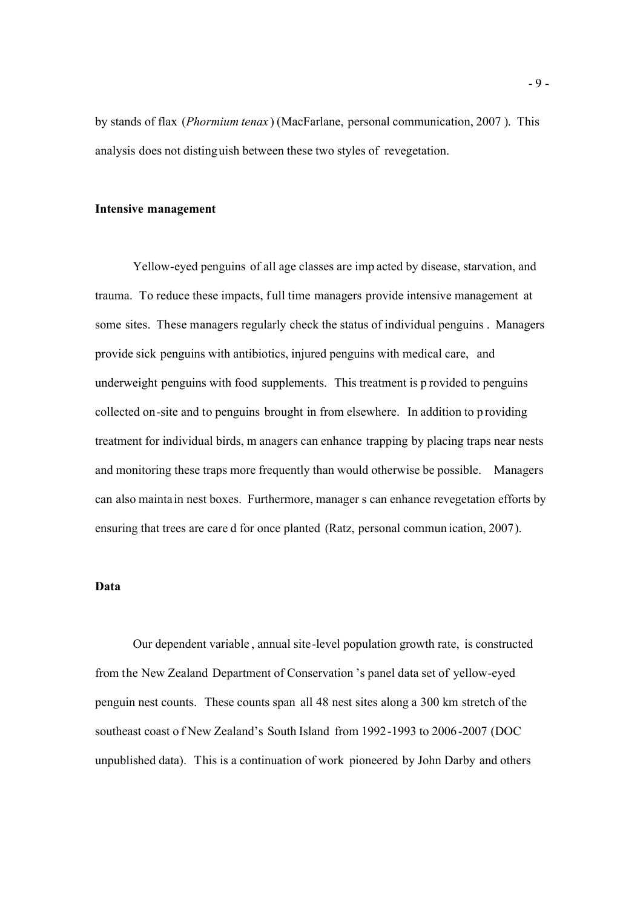by stands of flax (*Phormium tenax* ) (MacFarlane, personal communication, 2007 ). This analysis does not distinguish between these two styles of revegetation.

#### **Intensive management**

Yellow-eyed penguins of all age classes are imp acted by disease, starvation, and trauma. To reduce these impacts, full time managers provide intensive management at some sites. These managers regularly check the status of individual penguins . Managers provide sick penguins with antibiotics, injured penguins with medical care, and underweight penguins with food supplements. This treatment is p rovided to penguins collected on-site and to penguins brought in from elsewhere. In addition to p roviding treatment for individual birds, m anagers can enhance trapping by placing traps near nests and monitoring these traps more frequently than would otherwise be possible. Managers can also maintain nest boxes. Furthermore, manager s can enhance revegetation efforts by ensuring that trees are care d for once planted (Ratz, personal commun ication, 2007).

# **Data**

Our dependent variable , annual site-level population growth rate, is constructed from the New Zealand Department of Conservation 's panel data set of yellow-eyed penguin nest counts. These counts span all 48 nest sites along a 300 km stretch of the southeast coast o f New Zealand's South Island from 1992-1993 to 2006-2007 (DOC unpublished data). This is a continuation of work pioneered by John Darby and others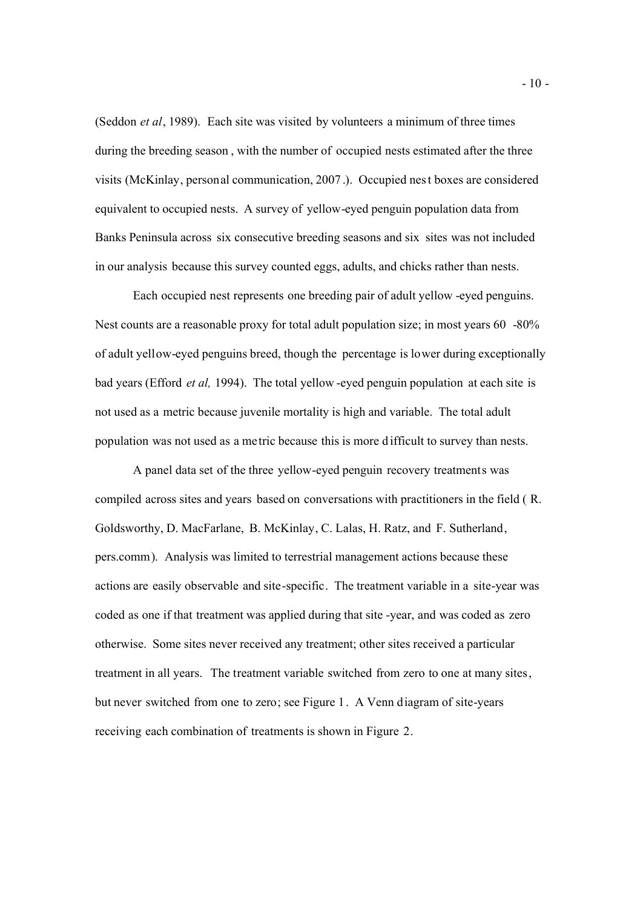(Seddon *et al*, 1989). Each site was visited by volunteers a minimum of three times during the breeding season , with the number of occupied nests estimated after the three visits (McKinlay, personal communication, 2007 .). Occupied nest boxes are considered equivalent to occupied nests. A survey of yellow-eyed penguin population data from Banks Peninsula across six consecutive breeding seasons and six sites was not included in our analysis because this survey counted eggs, adults, and chicks rather than nests.

Each occupied nest represents one breeding pair of adult yellow -eyed penguins. Nest counts are a reasonable proxy for total adult population size; in most years 60 -80% of adult yellow-eyed penguins breed, though the percentage is lower during exceptionally bad years (Efford *et al,* 1994). The total yellow -eyed penguin population at each site is not used as a metric because juvenile mortality is high and variable. The total adult population was not used as a metric because this is more d ifficult to survey than nests.

A panel data set of the three yellow-eyed penguin recovery treatments was compiled across sites and years based on conversations with practitioners in the field ( R. Goldsworthy, D. MacFarlane, B. McKinlay, C. Lalas, H. Ratz, and F. Sutherland, pers.comm). Analysis was limited to terrestrial management actions because these actions are easily observable and site-specific. The treatment variable in a site-year was coded as one if that treatment was applied during that site -year, and was coded as zero otherwise. Some sites never received any treatment; other sites received a particular treatment in all years. The treatment variable switched from zero to one at many sites, but never switched from one to zero; see Figure 1. A Venn diagram of site-years receiving each combination of treatments is shown in Figure 2.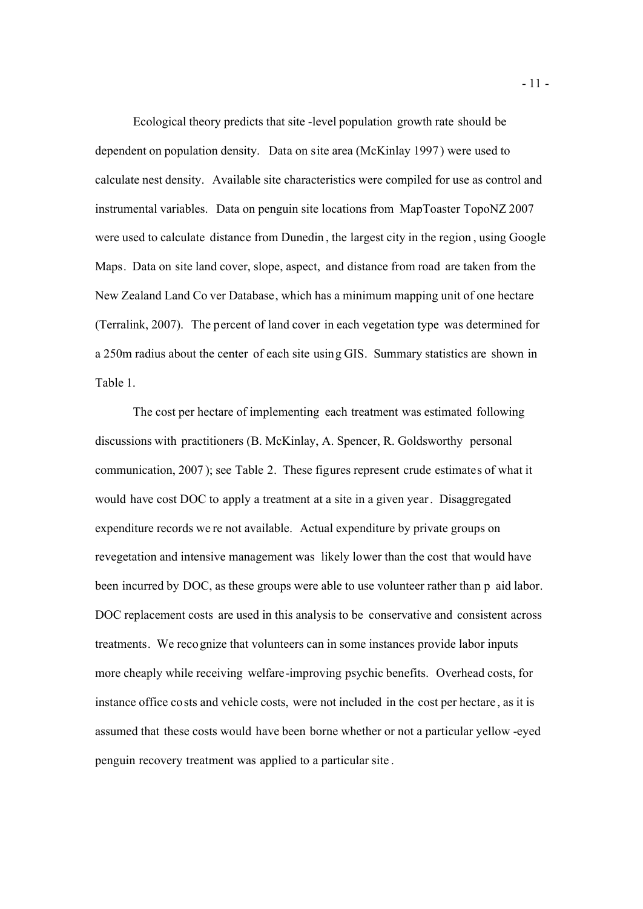Ecological theory predicts that site -level population growth rate should be dependent on population density. Data on site area (McKinlay 1997) were used to calculate nest density. Available site characteristics were compiled for use as control and instrumental variables. Data on penguin site locations from MapToaster TopoNZ 2007 were used to calculate distance from Dunedin , the largest city in the region , using Google Maps. Data on site land cover, slope, aspect, and distance from road are taken from the New Zealand Land Co ver Database, which has a minimum mapping unit of one hectare (Terralink, 2007). The percent of land cover in each vegetation type was determined for a 250m radius about the center of each site using GIS. Summary statistics are shown in Table 1.

The cost per hectare of implementing each treatment was estimated following discussions with practitioners (B. McKinlay, A. Spencer, R. Goldsworthy personal communication, 2007 ); see Table 2. These figures represent crude estimates of what it would have cost DOC to apply a treatment at a site in a given year. Disaggregated expenditure records we re not available. Actual expenditure by private groups on revegetation and intensive management was likely lower than the cost that would have been incurred by DOC, as these groups were able to use volunteer rather than p aid labor. DOC replacement costs are used in this analysis to be conservative and consistent across treatments. We recognize that volunteers can in some instances provide labor inputs more cheaply while receiving welfare-improving psychic benefits. Overhead costs, for instance office costs and vehicle costs, were not included in the cost per hectare , as it is assumed that these costs would have been borne whether or not a particular yellow -eyed penguin recovery treatment was applied to a particular site .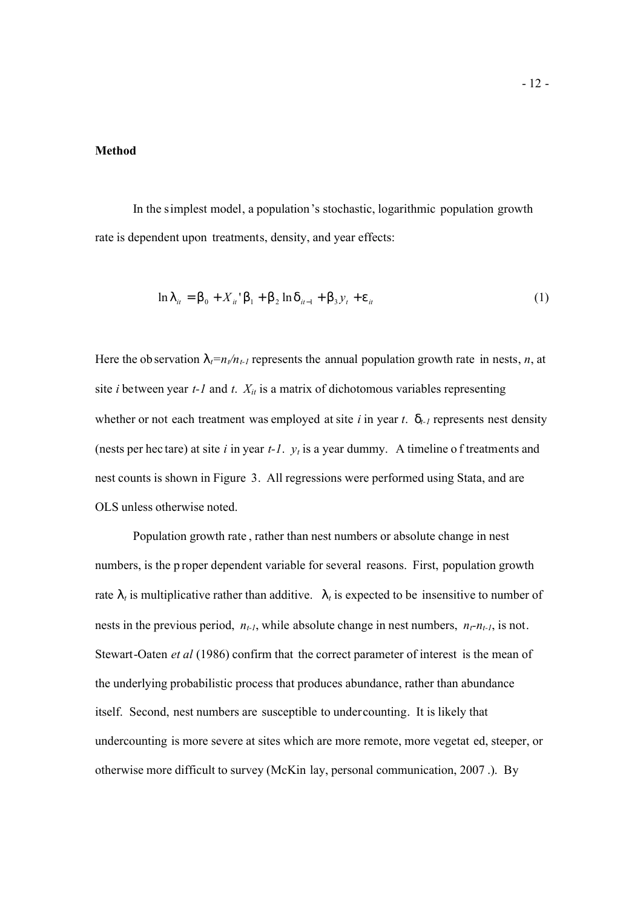## **Method**

In the simplest model, a population's stochastic, logarithmic population growth rate is dependent upon treatments, density, and year effects:

$$
\ln l_{it} = b_0 + X_{it}^{\ \ \ i} b_1 + b_2 \ln d_{it-1} + b_3 y_t + e_{it}
$$
 (1)

Here the ob servation  $l_t = n_t/n_{t-1}$  represents the annual population growth rate in nests, *n*, at site *i* between year  $t$ -1 and  $t$ .  $X_{it}$  is a matrix of dichotomous variables representing whether or not each treatment was employed at site  $i$  in year  $t$ .  $d_{t-1}$  represents nest density (nests per hec tare) at site *i* in year *t-1*. *y<sup>t</sup>* is a year dummy. A timeline o f treatments and nest counts is shown in Figure 3. All regressions were performed using Stata, and are OLS unless otherwise noted.

Population growth rate , rather than nest numbers or absolute change in nest numbers, is the p roper dependent variable for several reasons. First, population growth rate  $\mathsf{l}_t$  is multiplicative rather than additive.  $\mathsf{l}_t$  is expected to be insensitive to number of nests in the previous period,  $n_{t-1}$ , while absolute change in nest numbers,  $n_t - n_{t-1}$ , is not. Stewart-Oaten *et al* (1986) confirm that the correct parameter of interest is the mean of the underlying probabilistic process that produces abundance, rather than abundance itself. Second, nest numbers are susceptible to undercounting. It is likely that undercounting is more severe at sites which are more remote, more vegetat ed, steeper, or otherwise more difficult to survey (McKin lay, personal communication, 2007 .). By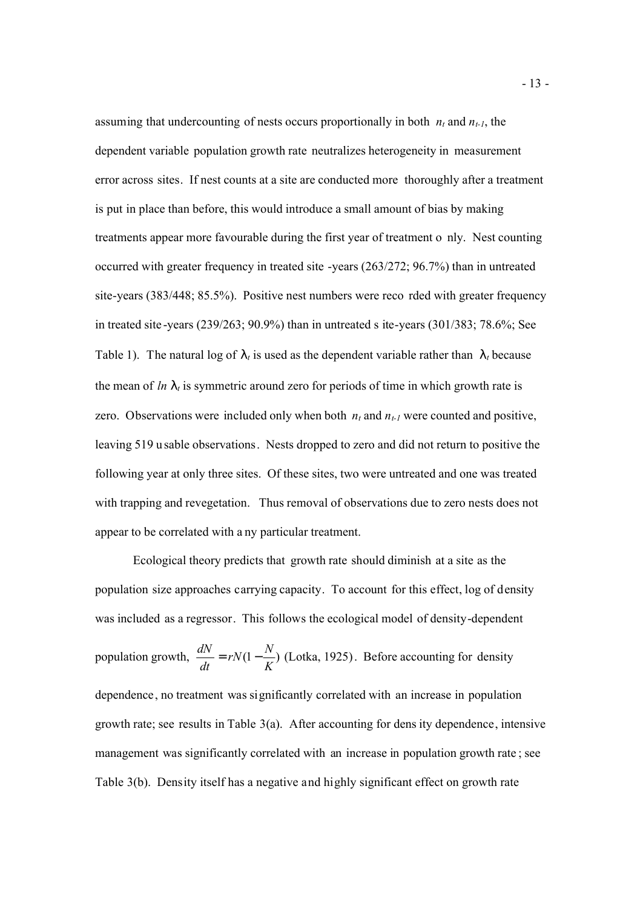assuming that undercounting of nests occurs proportionally in both  $n_t$  and  $n_{t-1}$ , the dependent variable population growth rate neutralizes heterogeneity in measurement error across sites. If nest counts at a site are conducted more thoroughly after a treatment is put in place than before, this would introduce a small amount of bias by making treatments appear more favourable during the first year of treatment o nly. Nest counting occurred with greater frequency in treated site -years (263/272; 96.7%) than in untreated site-years (383/448; 85.5%). Positive nest numbers were reco rded with greater frequency in treated site -years (239/263; 90.9%) than in untreated s ite-years (301/383; 78.6%; See Table 1). The natural log of  $\mathsf{I}_t$  is used as the dependent variable rather than  $\mathsf{I}_t$  because the mean of  $ln |t|$  is symmetric around zero for periods of time in which growth rate is zero. Observations were included only when both  $n_t$  and  $n_{t-1}$  were counted and positive, leaving 519 u sable observations. Nests dropped to zero and did not return to positive the following year at only three sites. Of these sites, two were untreated and one was treated with trapping and revegetation. Thus removal of observations due to zero nests does not appear to be correlated with a ny particular treatment.

Ecological theory predicts that growth rate should diminish at a site as the population size approaches carrying capacity. To account for this effect, log of density was included as a regressor. This follows the ecological model of density-dependent population growth,  $\frac{u \cdot v}{u} = rN(1 - \frac{v}{x})$ *K*  $rN(1-\frac{N}{N})$ *dt*  $\frac{dN}{dt} = rN(1-\frac{N}{K})$  (Lotka, 1925). Before accounting for density dependence, no treatment was significantly correlated with an increase in population growth rate; see results in Table 3(a). After accounting for dens ity dependence, intensive management was significantly correlated with an increase in population growth rate ; see Table 3(b). Density itself has a negative and highly significant effect on growth rate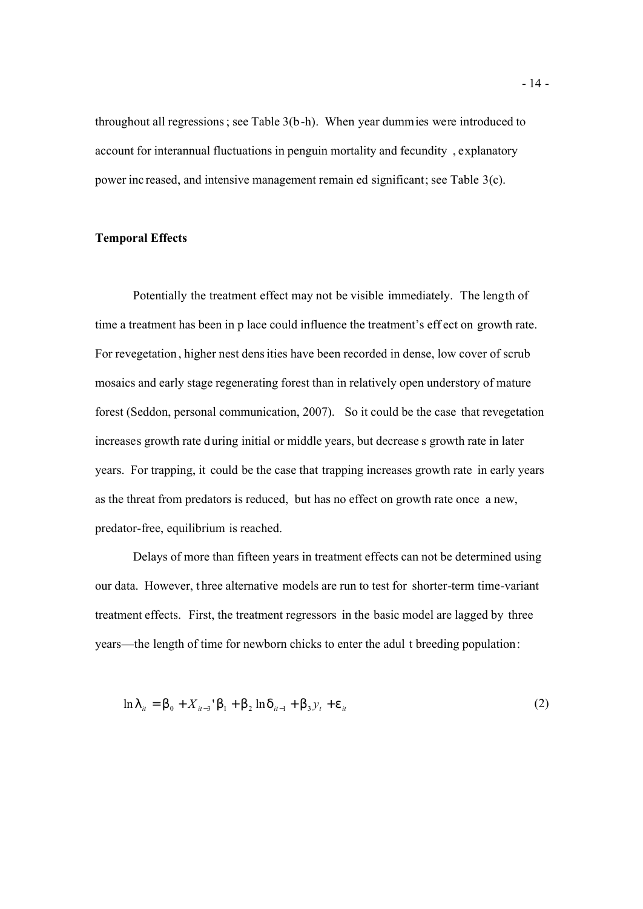throughout all regressions; see Table 3(b-h). When year dummies were introduced to account for interannual fluctuations in penguin mortality and fecundity , explanatory power inc reased, and intensive management remain ed significant; see Table 3(c).

# **Temporal Effects**

Potentially the treatment effect may not be visible immediately. The length of time a treatment has been in p lace could influence the treatment's eff ect on growth rate. For revegetation , higher nest densities have been recorded in dense, low cover of scrub mosaics and early stage regenerating forest than in relatively open understory of mature forest (Seddon, personal communication, 2007). So it could be the case that revegetation increases growth rate during initial or middle years, but decrease s growth rate in later years. For trapping, it could be the case that trapping increases growth rate in early years as the threat from predators is reduced, but has no effect on growth rate once a new, predator-free, equilibrium is reached.

Delays of more than fifteen years in treatment effects can not be determined using our data. However, t hree alternative models are run to test for shorter-term time-variant treatment effects. First, the treatment regressors in the basic model are lagged by three years—the length of time for newborn chicks to enter the adul t breeding population:

$$
\ln l_{it} = b_0 + X_{it-3} b_1 + b_2 \ln d_{it-1} + b_3 y_t + e_{it}
$$
 (2)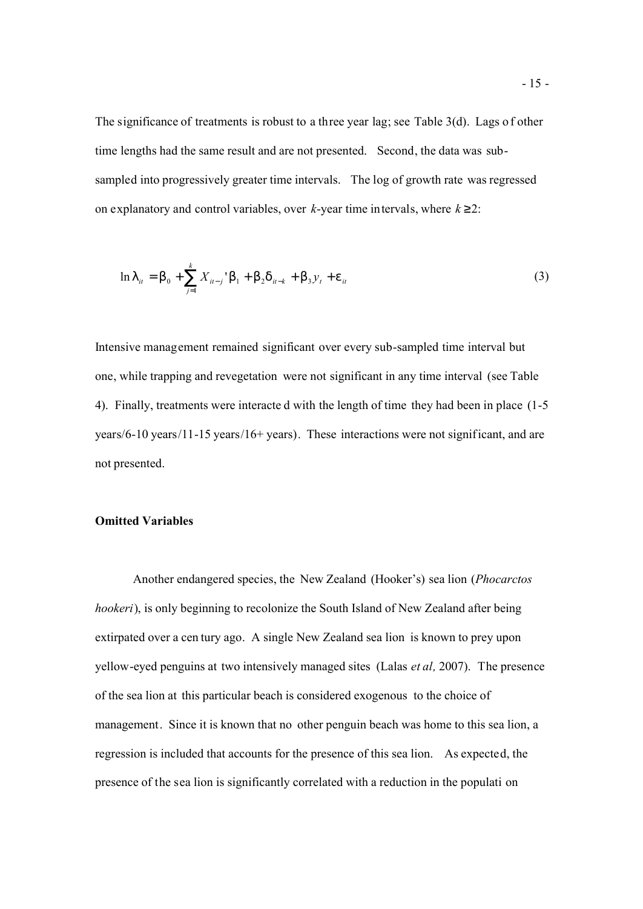The significance of treatments is robust to a three year lag; see Table 3(d). Lags of other time lengths had the same result and are not presented. Second, the data was subsampled into progressively greater time intervals. The log of growth rate was regressed on explanatory and control variables, over  $k$ -year time intervals, where  $k \geq 2$ :

$$
\ln l_{ii} = b_0 + \sum_{j=1}^{k} X_{ii-j} b_1 + b_2 d_{ii-k} + b_3 y_t + e_{ii}
$$
 (3)

Intensive management remained significant over every sub-sampled time interval but one, while trapping and revegetation were not significant in any time interval (see Table 4). Finally, treatments were interacte d with the length of time they had been in place (1-5 years/6-10 years/11-15 years/16+ years). These interactions were not significant, and are not presented.

## **Omitted Variables**

Another endangered species, the New Zealand (Hooker's) sea lion (*Phocarctos hookeri*), is only beginning to recolonize the South Island of New Zealand after being extirpated over a cen tury ago. A single New Zealand sea lion is known to prey upon yellow-eyed penguins at two intensively managed sites (Lalas *et al,* 2007). The presence of the sea lion at this particular beach is considered exogenous to the choice of management. Since it is known that no other penguin beach was home to this sea lion, a regression is included that accounts for the presence of this sea lion. As expected, the presence of the sea lion is significantly correlated with a reduction in the populati on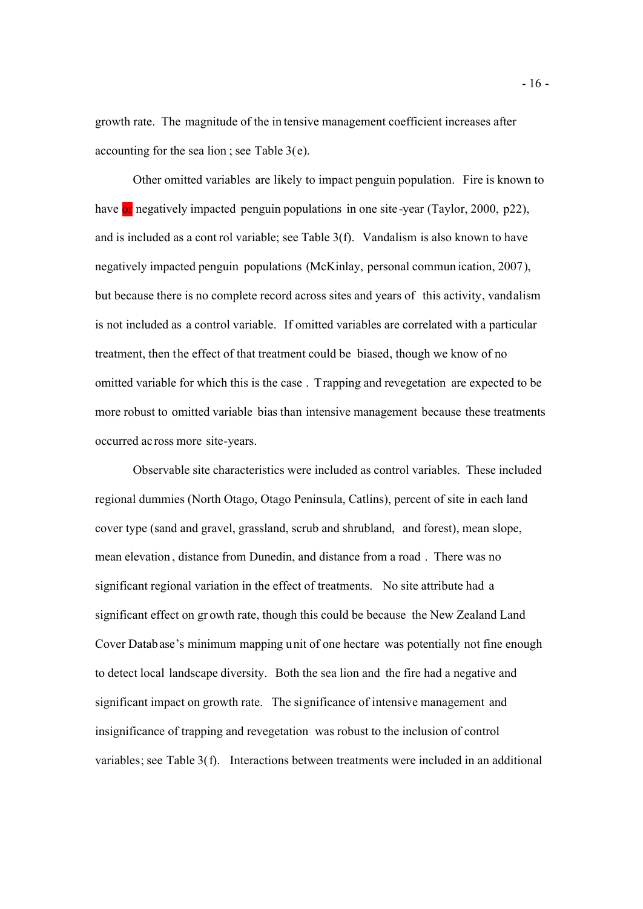growth rate. The magnitude of the in tensive management coefficient increases after accounting for the sea lion ; see Table 3(e).

Other omitted variables are likely to impact penguin population. Fire is known to have or negatively impacted penguin populations in one site-year (Taylor, 2000, p22), and is included as a cont rol variable; see Table 3(f). Vandalism is also known to have negatively impacted penguin populations (McKinlay, personal commun ication, 2007), but because there is no complete record across sites and years of this activity, vandalism is not included as a control variable. If omitted variables are correlated with a particular treatment, then the effect of that treatment could be biased, though we know of no omitted variable for which this is the case . Trapping and revegetation are expected to be more robust to omitted variable bias than intensive management because these treatments occurred ac ross more site-years.

Observable site characteristics were included as control variables. These included regional dummies (North Otago, Otago Peninsula, Catlins), percent of site in each land cover type (sand and gravel, grassland, scrub and shrubland, and forest), mean slope, mean elevation , distance from Dunedin, and distance from a road . There was no significant regional variation in the effect of treatments. No site attribute had a significant effect on gr owth rate, though this could be because the New Zealand Land Cover Database's minimum mapping unit of one hectare was potentially not fine enough to detect local landscape diversity. Both the sea lion and the fire had a negative and significant impact on growth rate. The significance of intensive management and insignificance of trapping and revegetation was robust to the inclusion of control variables; see Table 3(f). Interactions between treatments were included in an additional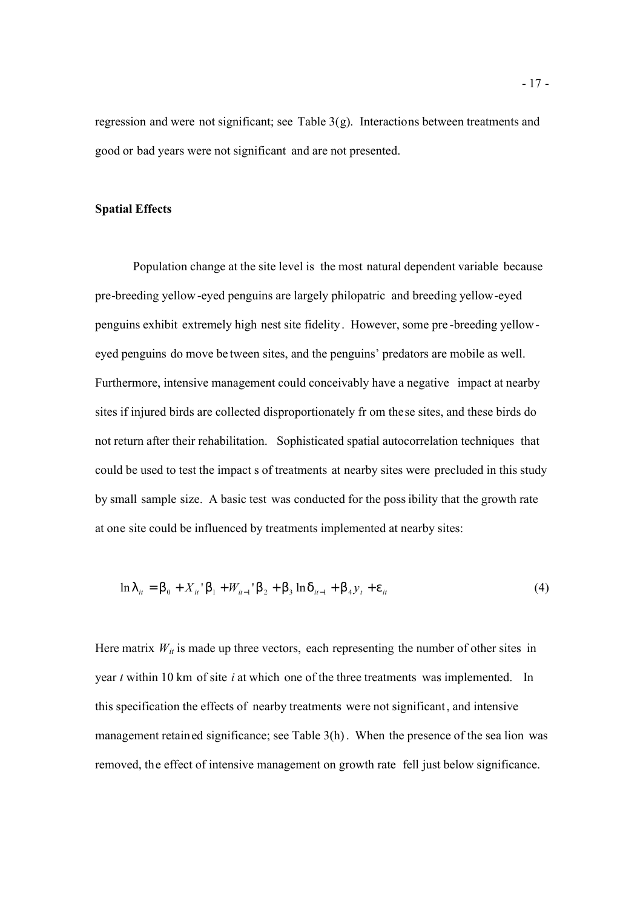regression and were not significant; see Table 3(g). Interactions between treatments and good or bad years were not significant and are not presented.

# **Spatial Effects**

Population change at the site level is the most natural dependent variable because pre-breeding yellow-eyed penguins are largely philopatric and breeding yellow-eyed penguins exhibit extremely high nest site fidelity. However, some pre -breeding yelloweyed penguins do move be tween sites, and the penguins' predators are mobile as well. Furthermore, intensive management could conceivably have a negative impact at nearby sites if injured birds are collected disproportionately fr om these sites, and these birds do not return after their rehabilitation. Sophisticated spatial autocorrelation techniques that could be used to test the impact s of treatments at nearby sites were precluded in this study by small sample size. A basic test was conducted for the possibility that the growth rate at one site could be influenced by treatments implemented at nearby sites:

$$
\ln l_{it} = b_0 + X_{it} \cdot b_1 + W_{it-1} \cdot b_2 + b_3 \ln d_{it-1} + b_4 y_t + e_{it}
$$
\n<sup>(4)</sup>

Here matrix  $W_{it}$  is made up three vectors, each representing the number of other sites in year *t* within 10 km of site *i* at which one of the three treatments was implemented. In this specification the effects of nearby treatments were not significant, and intensive management retained significance; see Table 3(h). When the presence of the sea lion was removed, the effect of intensive management on growth rate fell just below significance.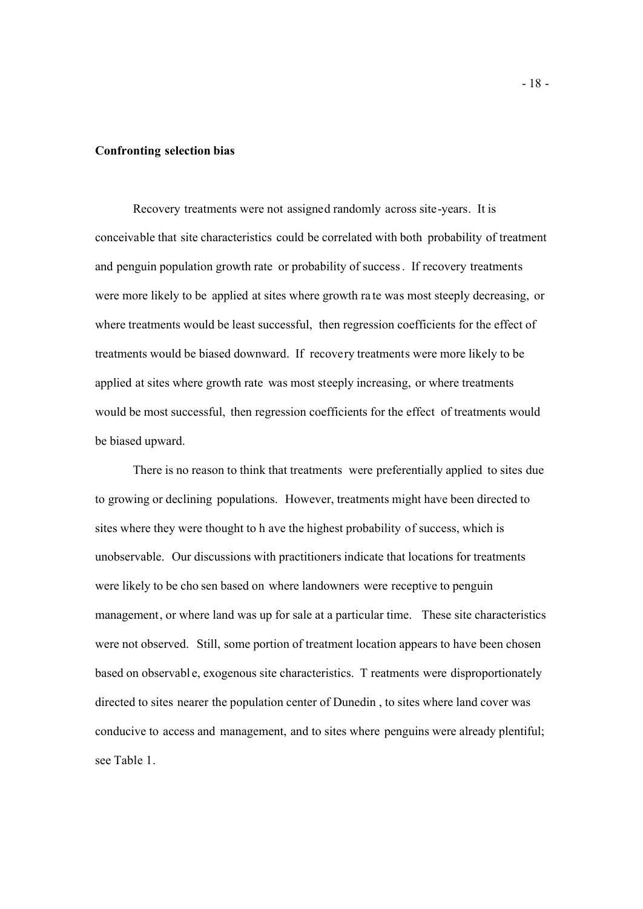# **Confronting selection bias**

Recovery treatments were not assigned randomly across site-years. It is conceivable that site characteristics could be correlated with both probability of treatment and penguin population growth rate or probability of success. If recovery treatments were more likely to be applied at sites where growth ra te was most steeply decreasing, or where treatments would be least successful, then regression coefficients for the effect of treatments would be biased downward. If recovery treatments were more likely to be applied at sites where growth rate was most steeply increasing, or where treatments would be most successful, then regression coefficients for the effect of treatments would be biased upward.

There is no reason to think that treatments were preferentially applied to sites due to growing or declining populations. However, treatments might have been directed to sites where they were thought to h ave the highest probability of success, which is unobservable. Our discussions with practitioners indicate that locations for treatments were likely to be cho sen based on where landowners were receptive to penguin management, or where land was up for sale at a particular time. These site characteristics were not observed. Still, some portion of treatment location appears to have been chosen based on observabl e, exogenous site characteristics. T reatments were disproportionately directed to sites nearer the population center of Dunedin , to sites where land cover was conducive to access and management, and to sites where penguins were already plentiful; see Table 1.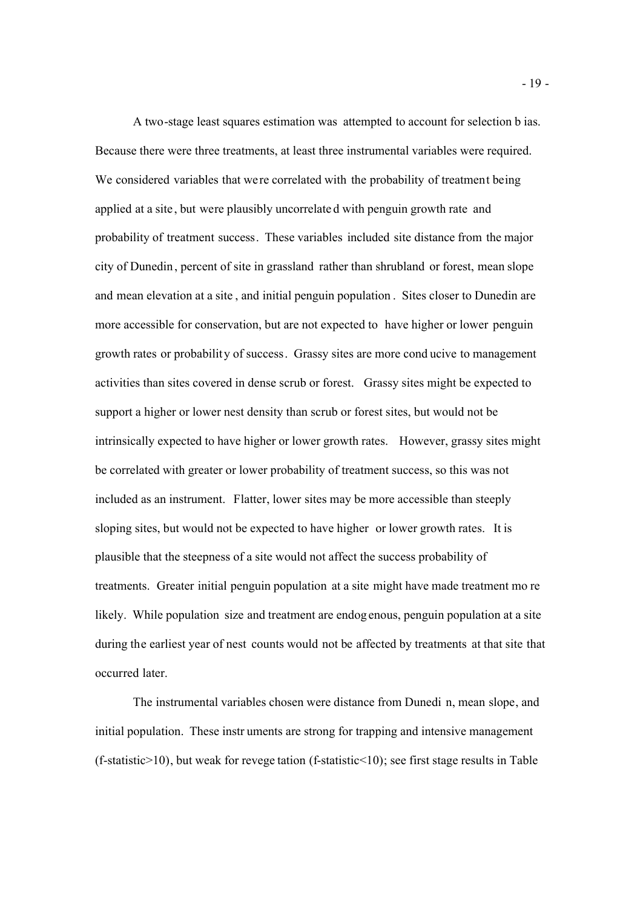A two-stage least squares estimation was attempted to account for selection b ias. Because there were three treatments, at least three instrumental variables were required. We considered variables that were correlated with the probability of treatment being applied at a site , but were plausibly uncorrelate d with penguin growth rate and probability of treatment success. These variables included site distance from the major city of Dunedin, percent of site in grassland rather than shrubland or forest, mean slope and mean elevation at a site , and initial penguin population . Sites closer to Dunedin are more accessible for conservation, but are not expected to have higher or lower penguin growth rates or probability of success. Grassy sites are more cond ucive to management activities than sites covered in dense scrub or forest. Grassy sites might be expected to support a higher or lower nest density than scrub or forest sites, but would not be intrinsically expected to have higher or lower growth rates. However, grassy sites might be correlated with greater or lower probability of treatment success, so this was not included as an instrument. Flatter, lower sites may be more accessible than steeply sloping sites, but would not be expected to have higher or lower growth rates. It is plausible that the steepness of a site would not affect the success probability of treatments. Greater initial penguin population at a site might have made treatment mo re likely. While population size and treatment are endog enous, penguin population at a site during the earliest year of nest counts would not be affected by treatments at that site that occurred later.

The instrumental variables chosen were distance from Dunedi n, mean slope, and initial population. These instr uments are strong for trapping and intensive management  $(f$ -statistic $>10$ ), but weak for revege tation  $(f$ -statistic $<10$ ); see first stage results in Table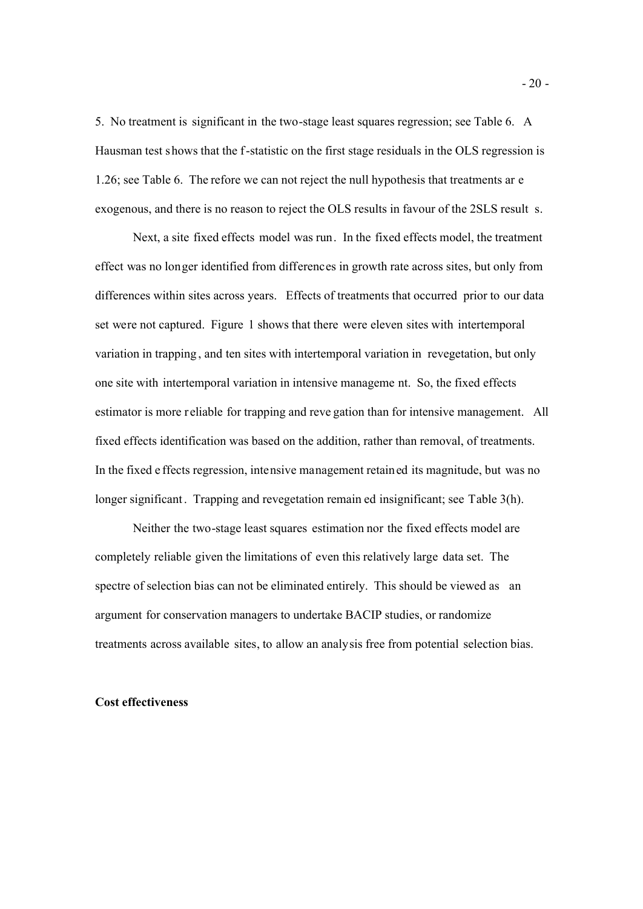5. No treatment is significant in the two-stage least squares regression; see Table 6. A Hausman test shows that the f-statistic on the first stage residuals in the OLS regression is 1.26; see Table 6. The refore we can not reject the null hypothesis that treatments ar e exogenous, and there is no reason to reject the OLS results in favour of the 2SLS result s.

Next, a site fixed effects model was run. In the fixed effects model, the treatment effect was no longer identified from differences in growth rate across sites, but only from differences within sites across years. Effects of treatments that occurred prior to our data set were not captured. Figure 1 shows that there were eleven sites with intertemporal variation in trapping , and ten sites with intertemporal variation in revegetation, but only one site with intertemporal variation in intensive manageme nt. So, the fixed effects estimator is more r eliable for trapping and reve gation than for intensive management. All fixed effects identification was based on the addition, rather than removal, of treatments. In the fixed e ffects regression, intensive management retained its magnitude, but was no longer significant. Trapping and revegetation remain ed insignificant; see Table 3(h).

Neither the two-stage least squares estimation nor the fixed effects model are completely reliable given the limitations of even this relatively large data set. The spectre of selection bias can not be eliminated entirely. This should be viewed as an argument for conservation managers to undertake BACIP studies, or randomize treatments across available sites, to allow an analysis free from potential selection bias.

### **Cost effectiveness**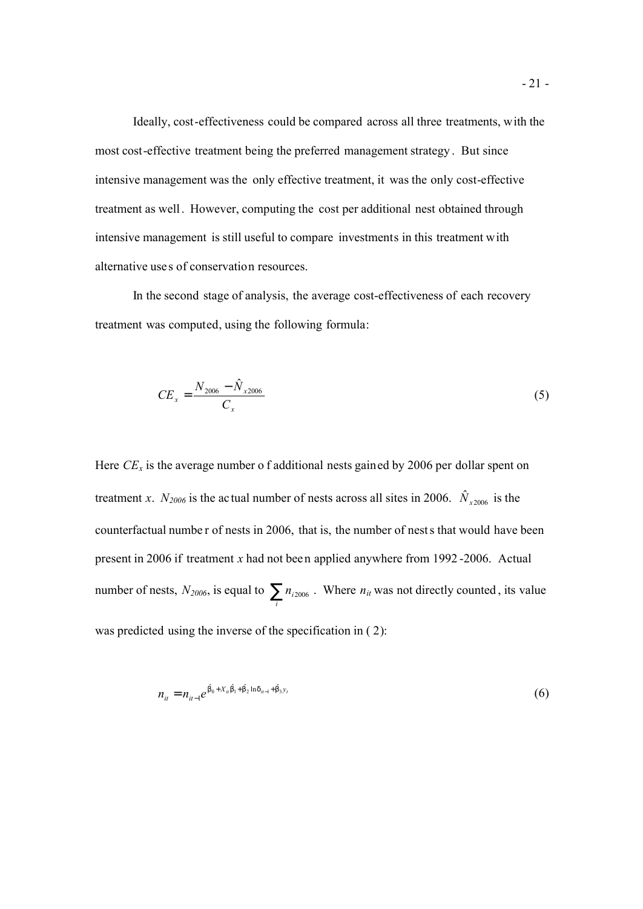Ideally, cost-effectiveness could be compared across all three treatments, with the most cost-effective treatment being the preferred management strategy . But since intensive management was the only effective treatment, it was the only cost-effective treatment as well. However, computing the cost per additional nest obtained through intensive management is still useful to compare investments in this treatment with alternative use s of conservation resources.

In the second stage of analysis, the average cost-effectiveness of each recovery treatment was computed, using the following formula:

$$
CE_x = \frac{N_{2006} - \hat{N}_{x2006}}{C_x} \tag{5}
$$

Here  $CE_x$  is the average number of additional nests gained by 2006 per dollar spent on treatment *x*.  $N_{2006}$  is the actual number of nests across all sites in 2006.  $\hat{N}_{x2006}$  is the counterfactual numbe r of nests in 2006, that is, the number of nests that would have been present in 2006 if treatment *x* had not been applied anywhere from 1992 -2006. Actual number of nests,  $N_{2006}$ , is equal to  $\sum_{i} n_{i2006}$ . Where  $n_{it}$  was not directly counted, its value was predicted using the inverse of the specification in  $(2)$ :

$$
n_{it} = n_{it-1} e^{\hat{b}_0 + X_{it}\hat{b}_1 + \hat{b}_2 \ln d_{it-1} + \hat{b}_3 y_t}
$$
(6)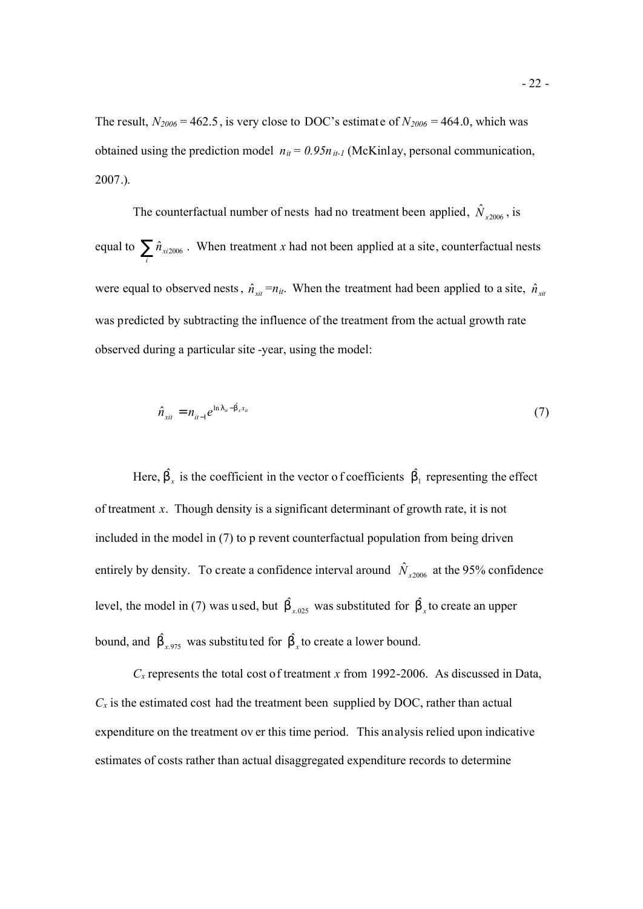The result,  $N_{2006} = 462.5$ , is very close to DOC's estimate of  $N_{2006} = 464.0$ , which was obtained using the prediction model  $n_{it} = 0.95n_{it-1}$  (McKinlay, personal communication, 2007.).

The counterfactual number of nests had no treatment been applied,  $\hat{N}_{x2006}$ , is equal to  $\sum_{i} \hat{n}_{xi2006}$ . When treatment *x* had not been applied at a site, counterfactual nests were equal to observed nests,  $\hat{n}_{xit} = n_{it}$ . When the treatment had been applied to a site,  $\hat{n}_{xit}$ was predicted by subtracting the influence of the treatment from the actual growth rate observed during a particular site -year, using the model:

$$
\hat{n}_{xit} = n_{it-1} e^{\ln|t_{it}-\hat{b}_x x_{it}} \tag{7}
$$

Here,  $\hat{b}_x$  is the coefficient in the vector of coefficients  $\hat{b}_1$  representing the effect of treatment *x*. Though density is a significant determinant of growth rate, it is not included in the model in (7) to p revent counterfactual population from being driven entirely by density. To create a confidence interval around  $\hat{N}_{x2006}$  at the 95% confidence level, the model in (7) was used, but  $\hat{b}_{x,025}$  was substituted for  $\hat{b}_{x}$  to create an upper bound, and  $\hat{b}_{x,975}$  was substituted for  $\hat{b}_x$  to create a lower bound.

 $C<sub>x</sub>$  represents the total cost of treatment *x* from 1992-2006. As discussed in Data,  $C_x$  is the estimated cost had the treatment been supplied by DOC, rather than actual expenditure on the treatment ov er this time period. This analysis relied upon indicative estimates of costs rather than actual disaggregated expenditure records to determine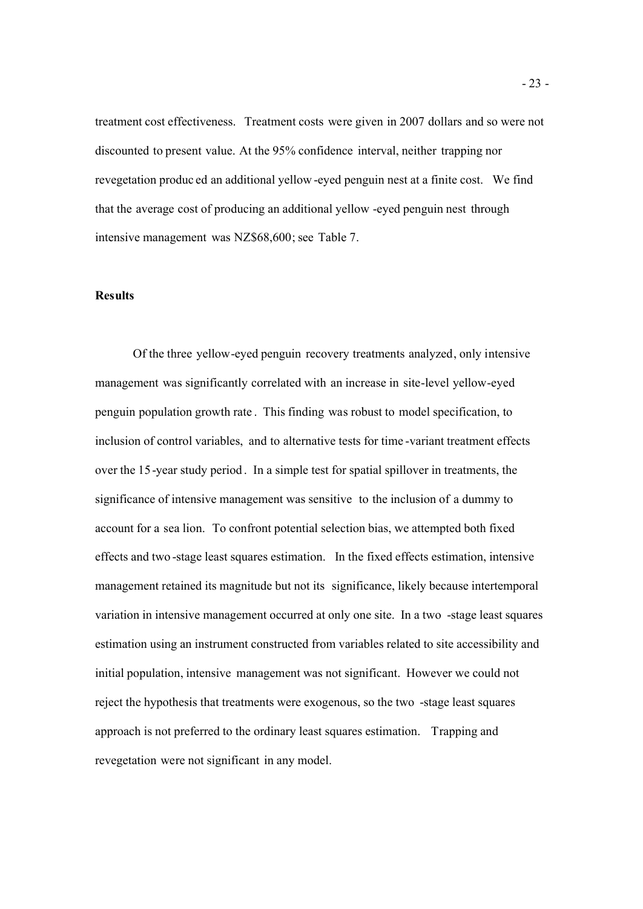treatment cost effectiveness. Treatment costs were given in 2007 dollars and so were not discounted to present value. At the 95% confidence interval, neither trapping nor revegetation produc ed an additional yellow -eyed penguin nest at a finite cost. We find that the average cost of producing an additional yellow -eyed penguin nest through intensive management was NZ\$68,600; see Table 7.

### **Results**

Of the three yellow-eyed penguin recovery treatments analyzed, only intensive management was significantly correlated with an increase in site-level yellow-eyed penguin population growth rate . This finding was robust to model specification, to inclusion of control variables, and to alternative tests for time -variant treatment effects over the 15-year study period . In a simple test for spatial spillover in treatments, the significance of intensive management was sensitive to the inclusion of a dummy to account for a sea lion. To confront potential selection bias, we attempted both fixed effects and two -stage least squares estimation. In the fixed effects estimation, intensive management retained its magnitude but not its significance, likely because intertemporal variation in intensive management occurred at only one site. In a two -stage least squares estimation using an instrument constructed from variables related to site accessibility and initial population, intensive management was not significant. However we could not reject the hypothesis that treatments were exogenous, so the two -stage least squares approach is not preferred to the ordinary least squares estimation. Trapping and revegetation were not significant in any model.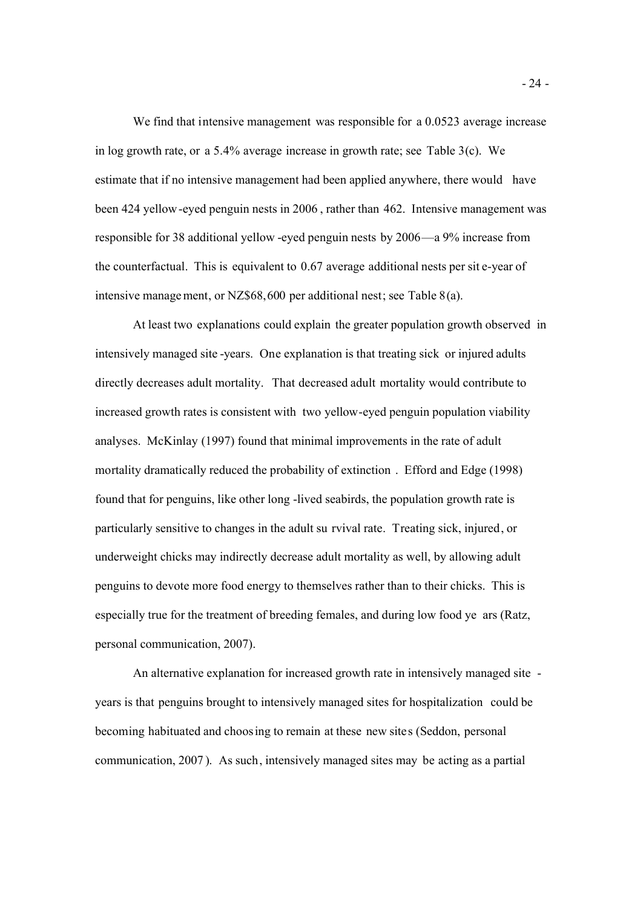We find that intensive management was responsible for a 0.0523 average increase in log growth rate, or a 5.4% average increase in growth rate; see Table 3(c). We estimate that if no intensive management had been applied anywhere, there would have been 424 yellow-eyed penguin nests in 2006 , rather than 462. Intensive management was responsible for 38 additional yellow -eyed penguin nests by 2006—a 9% increase from the counterfactual. This is equivalent to 0.67 average additional nests per sit e-year of intensive management, or NZ\$68,600 per additional nest; see Table 8(a).

At least two explanations could explain the greater population growth observed in intensively managed site -years. One explanation is that treating sick or injured adults directly decreases adult mortality. That decreased adult mortality would contribute to increased growth rates is consistent with two yellow-eyed penguin population viability analyses. McKinlay (1997) found that minimal improvements in the rate of adult mortality dramatically reduced the probability of extinction . Efford and Edge (1998) found that for penguins, like other long -lived seabirds, the population growth rate is particularly sensitive to changes in the adult su rvival rate. Treating sick, injured, or underweight chicks may indirectly decrease adult mortality as well, by allowing adult penguins to devote more food energy to themselves rather than to their chicks. This is especially true for the treatment of breeding females, and during low food ye ars (Ratz, personal communication, 2007).

An alternative explanation for increased growth rate in intensively managed site years is that penguins brought to intensively managed sites for hospitalization could be becoming habituated and choosing to remain at these new sites (Seddon, personal communication, 2007 ). As such, intensively managed sites may be acting as a partial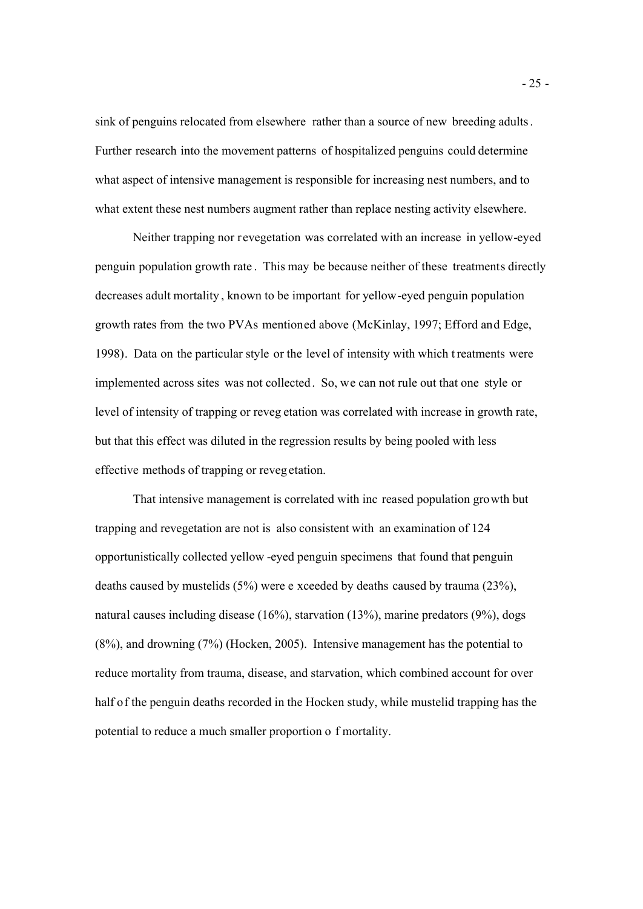sink of penguins relocated from elsewhere rather than a source of new breeding adults. Further research into the movement patterns of hospitalized penguins could determine what aspect of intensive management is responsible for increasing nest numbers, and to what extent these nest numbers augment rather than replace nesting activity elsewhere.

Neither trapping nor revegetation was correlated with an increase in yellow-eyed penguin population growth rate . This may be because neither of these treatments directly decreases adult mortality , known to be important for yellow-eyed penguin population growth rates from the two PVAs mentioned above (McKinlay, 1997; Efford and Edge, 1998). Data on the particular style or the level of intensity with which treatments were implemented across sites was not collected. So, we can not rule out that one style or level of intensity of trapping or reveg etation was correlated with increase in growth rate, but that this effect was diluted in the regression results by being pooled with less effective methods of trapping or reveg etation.

That intensive management is correlated with inc reased population growth but trapping and revegetation are not is also consistent with an examination of 124 opportunistically collected yellow -eyed penguin specimens that found that penguin deaths caused by mustelids (5%) were e xceeded by deaths caused by trauma (23%), natural causes including disease (16%), starvation (13%), marine predators (9%), dogs (8%), and drowning (7%) (Hocken, 2005). Intensive management has the potential to reduce mortality from trauma, disease, and starvation, which combined account for over half of the penguin deaths recorded in the Hocken study, while mustelid trapping has the potential to reduce a much smaller proportion o f mortality.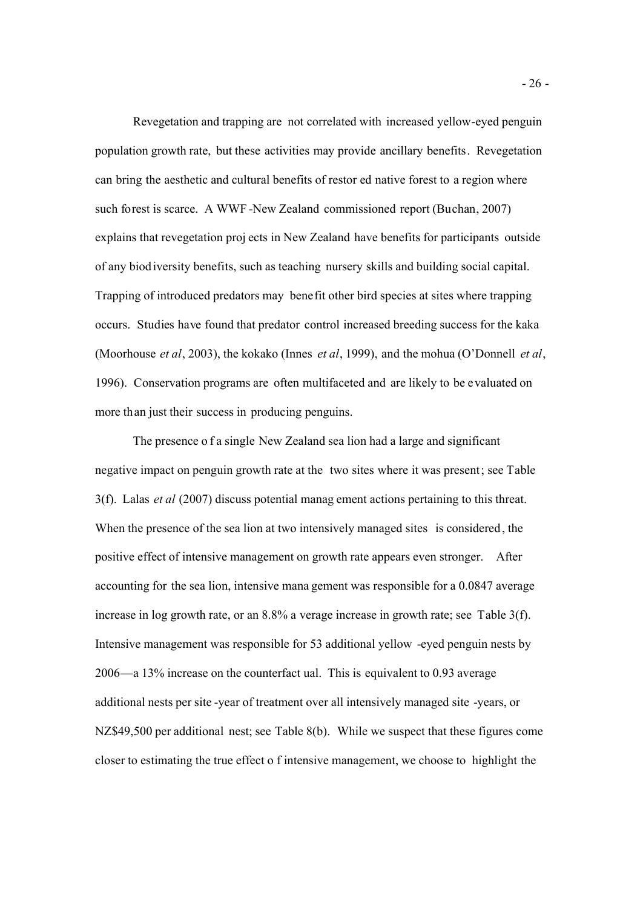Revegetation and trapping are not correlated with increased yellow-eyed penguin population growth rate, but these activities may provide ancillary benefits. Revegetation can bring the aesthetic and cultural benefits of restor ed native forest to a region where such forest is scarce. A WWF -New Zealand commissioned report (Buchan, 2007) explains that revegetation proj ects in New Zealand have benefits for participants outside of any biodiversity benefits, such as teaching nursery skills and building social capital. Trapping of introduced predators may benefit other bird species at sites where trapping occurs. Studies have found that predator control increased breeding success for the kaka (Moorhouse *et al*, 2003), the kokako (Innes *et al*, 1999), and the mohua (O'Donnell *et al*, 1996). Conservation programs are often multifaceted and are likely to be evaluated on more than just their success in producing penguins.

The presence o f a single New Zealand sea lion had a large and significant negative impact on penguin growth rate at the two sites where it was present; see Table 3(f). Lalas *et al* (2007) discuss potential manag ement actions pertaining to this threat. When the presence of the sea lion at two intensively managed sites is considered , the positive effect of intensive management on growth rate appears even stronger. After accounting for the sea lion, intensive mana gement was responsible for a 0.0847 average increase in log growth rate, or an 8.8% a verage increase in growth rate; see Table 3(f). Intensive management was responsible for 53 additional yellow -eyed penguin nests by 2006—a 13% increase on the counterfact ual. This is equivalent to 0.93 average additional nests per site -year of treatment over all intensively managed site -years, or NZ\$49,500 per additional nest; see Table 8(b). While we suspect that these figures come closer to estimating the true effect o f intensive management, we choose to highlight the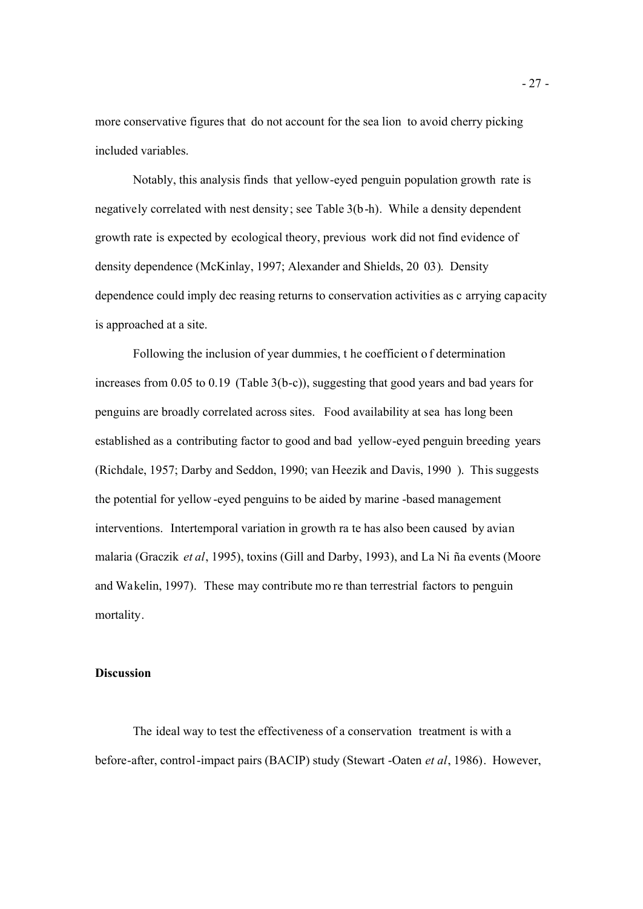more conservative figures that do not account for the sea lion to avoid cherry picking included variables.

Notably, this analysis finds that yellow-eyed penguin population growth rate is negatively correlated with nest density; see Table 3(b-h). While a density dependent growth rate is expected by ecological theory, previous work did not find evidence of density dependence (McKinlay, 1997; Alexander and Shields, 20 03). Density dependence could imply dec reasing returns to conservation activities as c arrying capacity is approached at a site.

Following the inclusion of year dummies, t he coefficient o f determination increases from 0.05 to 0.19 (Table 3(b-c)), suggesting that good years and bad years for penguins are broadly correlated across sites. Food availability at sea has long been established as a contributing factor to good and bad yellow-eyed penguin breeding years (Richdale, 1957; Darby and Seddon, 1990; van Heezik and Davis, 1990 ). This suggests the potential for yellow-eyed penguins to be aided by marine -based management interventions. Intertemporal variation in growth ra te has also been caused by avian malaria (Graczik *et al*, 1995), toxins (Gill and Darby, 1993), and La Ni ña events (Moore and Wakelin, 1997). These may contribute mo re than terrestrial factors to penguin mortality.

### **Discussion**

The ideal way to test the effectiveness of a conservation treatment is with a before-after, control-impact pairs (BACIP) study (Stewart -Oaten *et al*, 1986). However,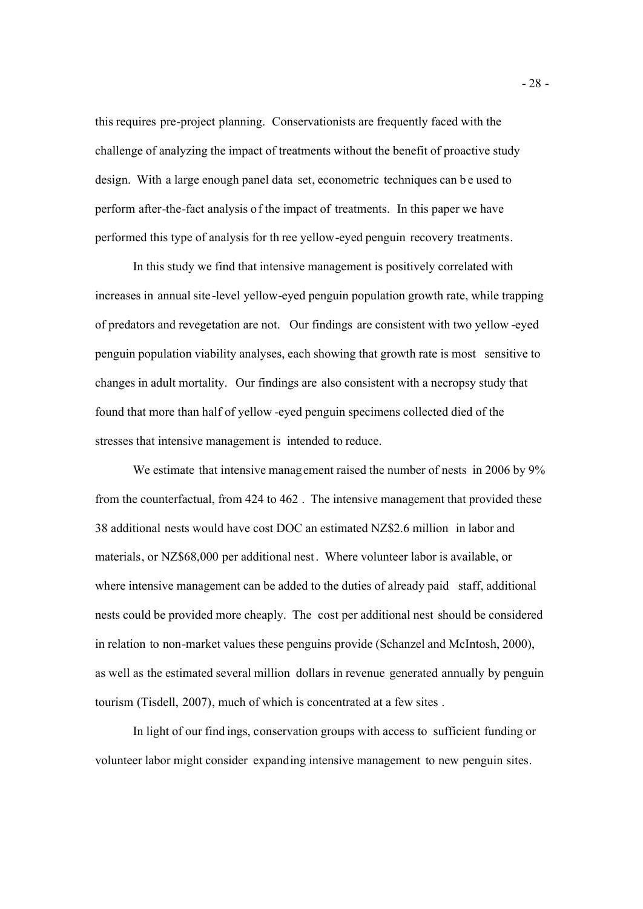this requires pre-project planning. Conservationists are frequently faced with the challenge of analyzing the impact of treatments without the benefit of proactive study design. With a large enough panel data set, econometric techniques can be used to perform after-the-fact analysis of the impact of treatments. In this paper we have performed this type of analysis for th ree yellow-eyed penguin recovery treatments.

In this study we find that intensive management is positively correlated with increases in annual site -level yellow-eyed penguin population growth rate, while trapping of predators and revegetation are not. Our findings are consistent with two yellow -eyed penguin population viability analyses, each showing that growth rate is most sensitive to changes in adult mortality. Our findings are also consistent with a necropsy study that found that more than half of yellow -eyed penguin specimens collected died of the stresses that intensive management is intended to reduce.

We estimate that intensive management raised the number of nests in 2006 by 9% from the counterfactual, from 424 to 462 . The intensive management that provided these 38 additional nests would have cost DOC an estimated NZ\$2.6 million in labor and materials, or NZ\$68,000 per additional nest. Where volunteer labor is available, or where intensive management can be added to the duties of already paid staff, additional nests could be provided more cheaply. The cost per additional nest should be considered in relation to non-market values these penguins provide (Schanzel and McIntosh, 2000), as well as the estimated several million dollars in revenue generated annually by penguin tourism (Tisdell, 2007), much of which is concentrated at a few sites .

In light of our find ings, conservation groups with access to sufficient funding or volunteer labor might consider expanding intensive management to new penguin sites.

- 28 -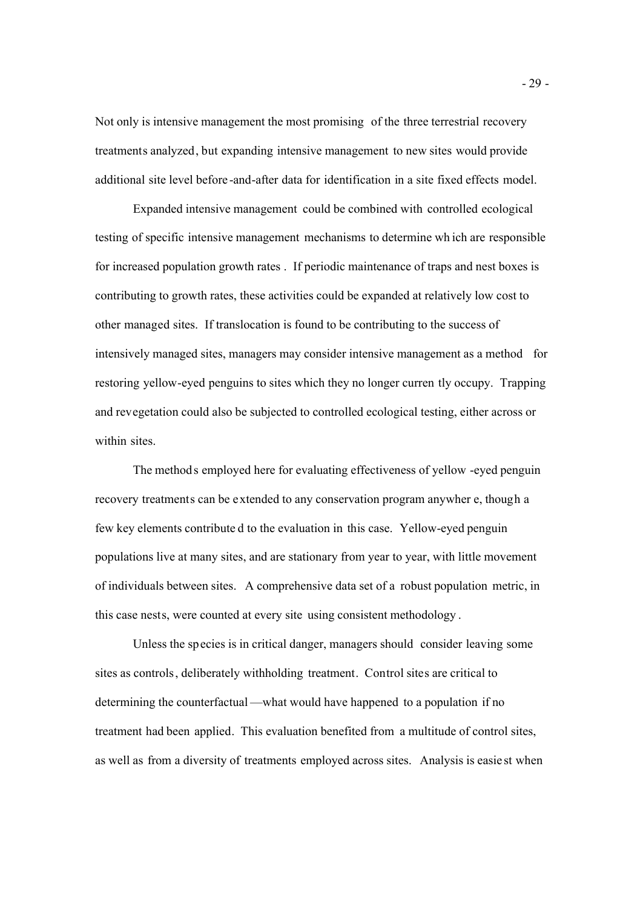Not only is intensive management the most promising of the three terrestrial recovery treatments analyzed, but expanding intensive management to new sites would provide additional site level before -and-after data for identification in a site fixed effects model.

Expanded intensive management could be combined with controlled ecological testing of specific intensive management mechanisms to determine wh ich are responsible for increased population growth rates . If periodic maintenance of traps and nest boxes is contributing to growth rates, these activities could be expanded at relatively low cost to other managed sites. If translocation is found to be contributing to the success of intensively managed sites, managers may consider intensive management as a method for restoring yellow-eyed penguins to sites which they no longer curren tly occupy. Trapping and revegetation could also be subjected to controlled ecological testing, either across or within sites.

The methods employed here for evaluating effectiveness of yellow -eyed penguin recovery treatments can be extended to any conservation program anywher e, though a few key elements contribute d to the evaluation in this case. Yellow-eyed penguin populations live at many sites, and are stationary from year to year, with little movement of individuals between sites. A comprehensive data set of a robust population metric, in this case nests, were counted at every site using consistent methodology .

Unless the species is in critical danger, managers should consider leaving some sites as controls, deliberately withholding treatment. Control sites are critical to determining the counterfactual —what would have happened to a population if no treatment had been applied. This evaluation benefited from a multitude of control sites, as well as from a diversity of treatments employed across sites. Analysis is easie st when

- 29 -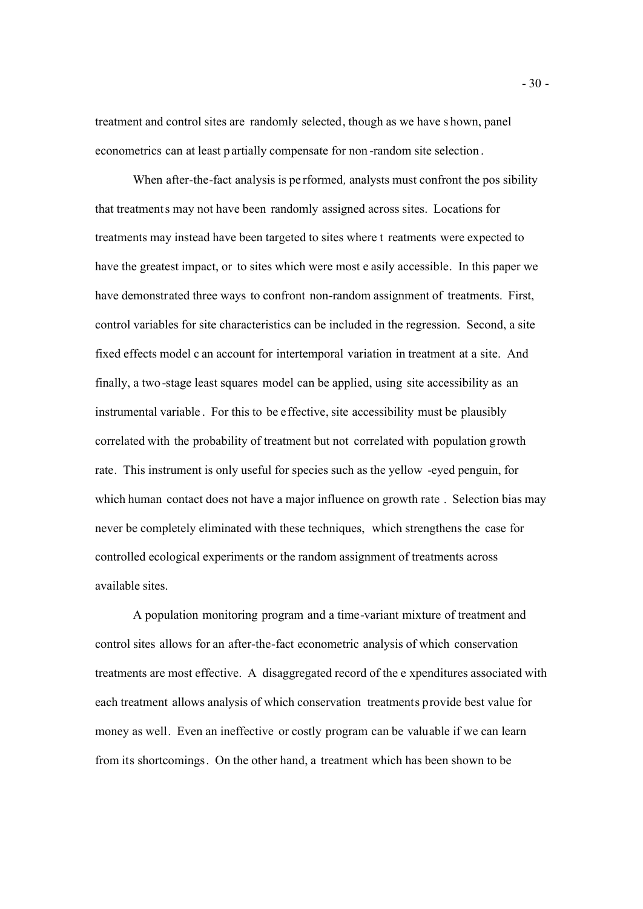treatment and control sites are randomly selected, though as we have s hown, panel econometrics can at least partially compensate for non -random site selection .

When after-the-fact analysis is pe rformed*,* analysts must confront the pos sibility that treatments may not have been randomly assigned across sites. Locations for treatments may instead have been targeted to sites where t reatments were expected to have the greatest impact, or to sites which were most e asily accessible. In this paper we have demonstrated three ways to confront non-random assignment of treatments. First, control variables for site characteristics can be included in the regression. Second, a site fixed effects model c an account for intertemporal variation in treatment at a site. And finally, a two-stage least squares model can be applied, using site accessibility as an instrumental variable . For this to be effective, site accessibility must be plausibly correlated with the probability of treatment but not correlated with population growth rate. This instrument is only useful for species such as the yellow -eyed penguin, for which human contact does not have a major influence on growth rate . Selection bias may never be completely eliminated with these techniques, which strengthens the case for controlled ecological experiments or the random assignment of treatments across available sites.

A population monitoring program and a time-variant mixture of treatment and control sites allows for an after-the-fact econometric analysis of which conservation treatments are most effective. A disaggregated record of the e xpenditures associated with each treatment allows analysis of which conservation treatments provide best value for money as well. Even an ineffective or costly program can be valuable if we can learn from its shortcomings. On the other hand, a treatment which has been shown to be

- 30 -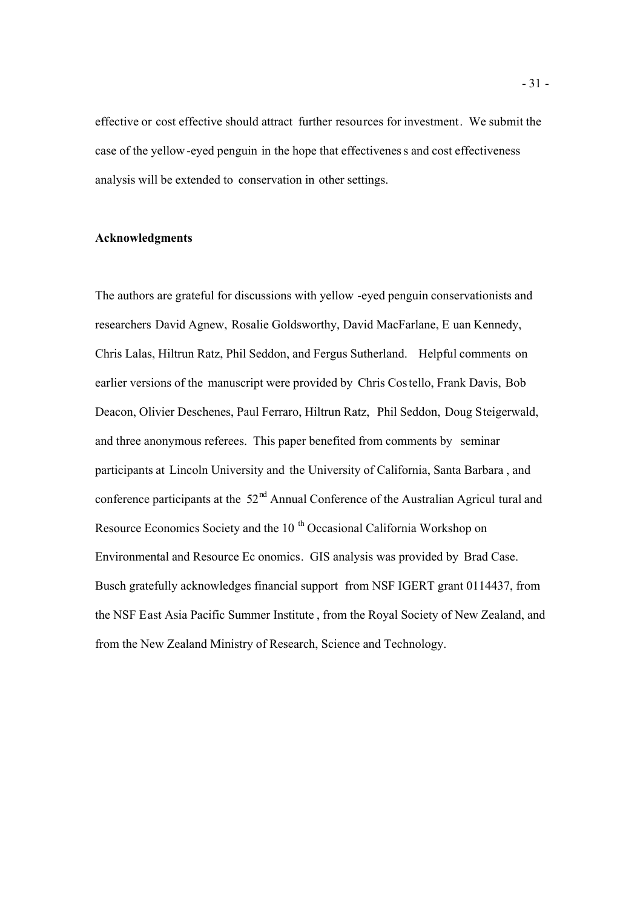effective or cost effective should attract further resources for investment. We submit the case of the yellow-eyed penguin in the hope that effectiveness and cost effectiveness analysis will be extended to conservation in other settings.

# **Acknowledgments**

The authors are grateful for discussions with yellow -eyed penguin conservationists and researchers David Agnew, Rosalie Goldsworthy, David MacFarlane, E uan Kennedy, Chris Lalas, Hiltrun Ratz, Phil Seddon, and Fergus Sutherland. Helpful comments on earlier versions of the manuscript were provided by Chris Costello, Frank Davis, Bob Deacon, Olivier Deschenes, Paul Ferraro, Hiltrun Ratz, Phil Seddon, Doug Steigerwald, and three anonymous referees. This paper benefited from comments by seminar participants at Lincoln University and the University of California, Santa Barbara , and conference participants at the  $52<sup>nd</sup>$  Annual Conference of the Australian Agricul tural and Resource Economics Society and the 10<sup>th</sup> Occasional California Workshop on Environmental and Resource Ec onomics. GIS analysis was provided by Brad Case. Busch gratefully acknowledges financial support from NSF IGERT grant 0114437, from the NSF East Asia Pacific Summer Institute , from the Royal Society of New Zealand, and from the New Zealand Ministry of Research, Science and Technology.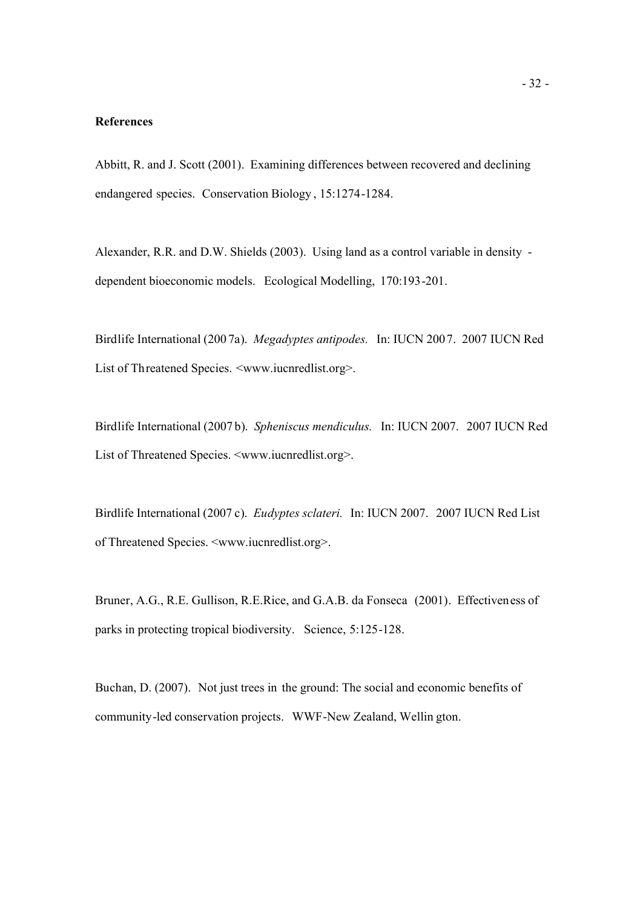### **References**

Abbitt, R. and J. Scott (2001). Examining differences between recovered and declining endangered species. Conservation Biology , 15:1274-1284.

Alexander, R.R. and D.W. Shields (2003). Using land as a control variable in density dependent bioeconomic models. Ecological Modelling, 170:193-201.

Birdlife International (200 7a). *Megadyptes antipodes.* In: IUCN 2007. 2007 IUCN Red List of Threatened Species. <www.iucnredlist.org>.

Birdlife International (2007 b). *Spheniscus mendiculus.* In: IUCN 2007. 2007 IUCN Red List of Threatened Species. <www.iucnredlist.org>.

Birdlife International (2007 c). *Eudyptes sclateri.* In: IUCN 2007. 2007 IUCN Red List of Threatened Species. <www.iucnredlist.org>.

Bruner, A.G., R.E. Gullison, R.E.Rice, and G.A.B. da Fonseca (2001). Effectiveness of parks in protecting tropical biodiversity. Science, 5:125-128.

Buchan, D. (2007). Not just trees in the ground: The social and economic benefits of community-led conservation projects. WWF-New Zealand, Wellin gton.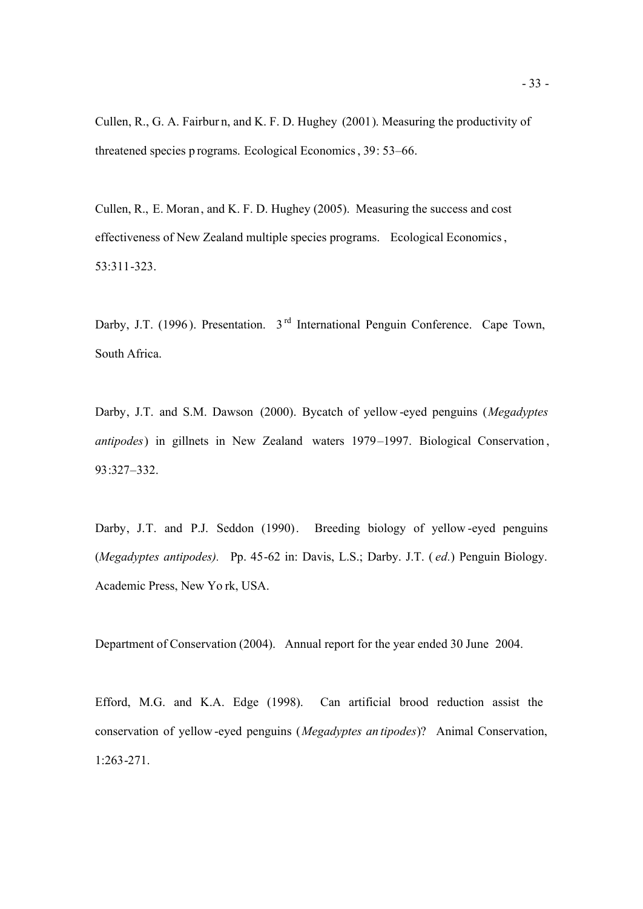Cullen, R., G. A. Fairbur n, and K. F. D. Hughey (2001). Measuring the productivity of threatened species p rograms. Ecological Economics, 39: 53–66.

Cullen, R., E. Moran, and K. F. D. Hughey (2005). Measuring the success and cost effectiveness of New Zealand multiple species programs. Ecological Economics, 53:311-323.

Darby, J.T. (1996). Presentation. 3<sup>rd</sup> International Penguin Conference. Cape Town, South Africa.

Darby, J.T. and S.M. Dawson (2000). Bycatch of yellow -eyed penguins (*Megadyptes antipodes*) in gillnets in New Zealand waters 1979–1997. Biological Conservation , 93:327–332.

Darby, J.T. and P.J. Seddon (1990). Breeding biology of yellow -eyed penguins (*Megadyptes antipodes).* Pp. 45-62 in: Davis, L.S.; Darby. J.T. ( *ed.*) Penguin Biology. Academic Press, New Yo rk, USA.

Department of Conservation (2004). Annual report for the year ended 30 June 2004.

Efford, M.G. and K.A. Edge (1998). Can artificial brood reduction assist the conservation of yellow -eyed penguins (*Megadyptes an tipodes*)? Animal Conservation, 1:263-271.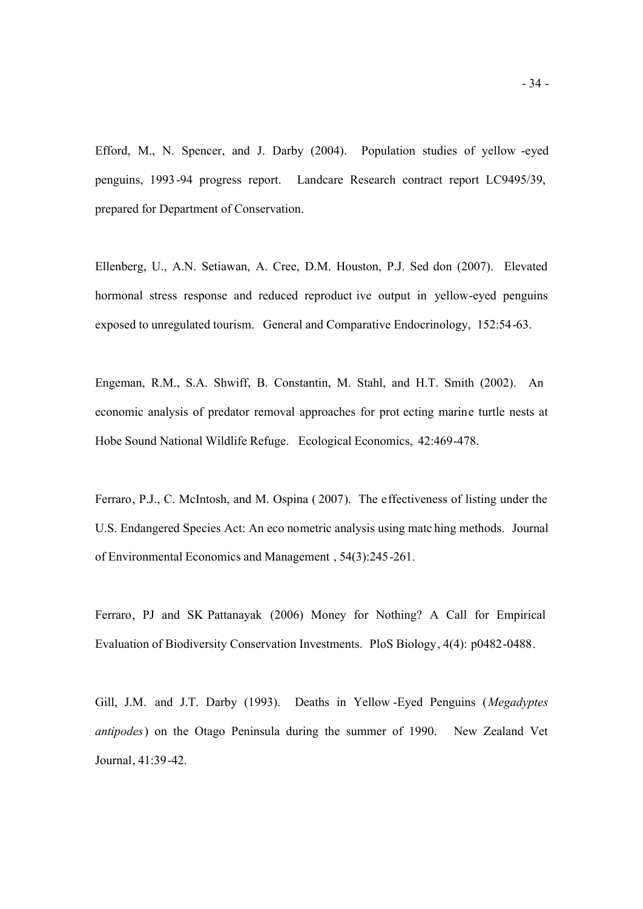Efford, M., N. Spencer, and J. Darby (2004). Population studies of yellow -eyed penguins, 1993-94 progress report. Landcare Research contract report LC9495/39, prepared for Department of Conservation.

Ellenberg, U., A.N. Setiawan, A. Cree, D.M. Houston, P.J. Sed don (2007). Elevated hormonal stress response and reduced reproduct ive output in yellow-eyed penguins exposed to unregulated tourism. General and Comparative Endocrinology, 152:54-63.

Engeman, R.M., S.A. Shwiff, B. Constantin, M. Stahl, and H.T. Smith (2002). An economic analysis of predator removal approaches for prot ecting marine turtle nests at Hobe Sound National Wildlife Refuge. Ecological Economics, 42:469-478.

Ferraro, P.J., C. McIntosh, and M. Ospina ( 2007). The effectiveness of listing under the U.S. Endangered Species Act: An eco nometric analysis using matc hing methods. Journal of Environmental Economics and Management , 54(3):245-261*.*

Ferraro, PJ and SK Pattanayak (2006) Money for Nothing? A Call for Empirical Evaluation of Biodiversity Conservation Investments. PloS Biology, 4(4): p0482-0488.

Gill, J.M. and J.T. Darby (1993). Deaths in Yellow -Eyed Penguins (*Megadyptes antipodes*) on the Otago Peninsula during the summer of 1990. New Zealand Vet Journal, 41:39-42.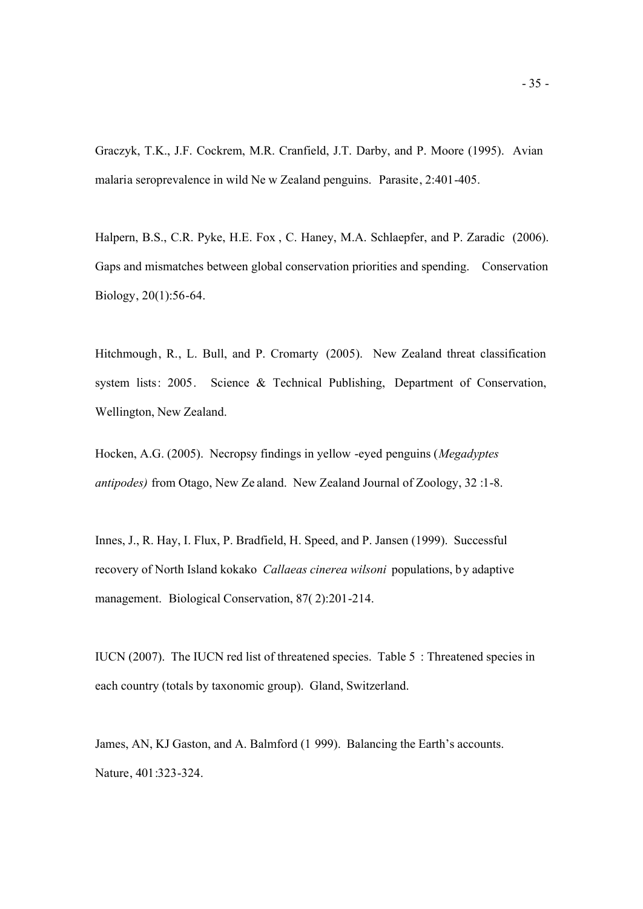Graczyk, T.K., J.F. Cockrem, M.R. Cranfield, J.T. Darby, and P. Moore (1995). Avian malaria seroprevalence in wild Ne w Zealand penguins. Parasite, 2:401-405.

Halpern, B.S., C.R. Pyke, H.E. Fox , C. Haney, M.A. Schlaepfer, and P. Zaradic (2006). Gaps and mismatches between global conservation priorities and spending. Conservation Biology, 20(1):56-64.

Hitchmough, R., L. Bull, and P. Cromarty (2005). New Zealand threat classification system lists: 2005. Science & Technical Publishing, Department of Conservation, Wellington, New Zealand.

Hocken, A.G. (2005). Necropsy findings in yellow -eyed penguins (*Megadyptes antipodes)* from Otago, New Ze aland. New Zealand Journal of Zoology, 32 :1-8.

Innes, J., R. Hay, I. Flux, P. Bradfield, H. Speed, and P. Jansen (1999). Successful recovery of North Island kokako *Callaeas cinerea wilsoni* populations, b y adaptive management. Biological Conservation, 87( 2):201-214.

IUCN (2007). The IUCN red list of threatened species. Table 5 : Threatened species in each country (totals by taxonomic group). Gland, Switzerland.

James, AN, KJ Gaston, and A. Balmford (1 999). Balancing the Earth's accounts. Nature, 401:323-324.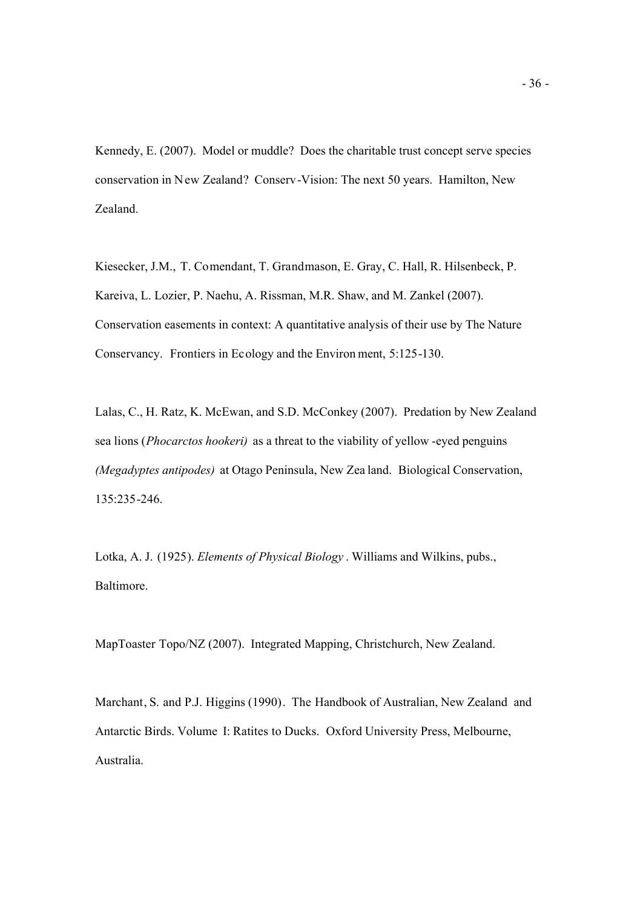Kennedy, E. (2007). Model or muddle? Does the charitable trust concept serve species conservation in New Zealand? Conserv-Vision: The next 50 years. Hamilton, New Zealand.

Kiesecker, J.M., T. Comendant, T. Grandmason, E. Gray, C. Hall, R. Hilsenbeck, P. Kareiva, L. Lozier, P. Naehu, A. Rissman, M.R. Shaw, and M. Zankel (2007). Conservation easements in context: A quantitative analysis of their use by The Nature Conservancy. Frontiers in Ecology and the Environ ment, 5:125-130.

Lalas, C., H. Ratz, K. McEwan, and S.D. McConkey (2007). Predation by New Zealand sea lions (*Phocarctos hookeri)* as a threat to the viability of yellow -eyed penguins *(Megadyptes antipodes)* at Otago Peninsula, New Zea land. Biological Conservation, 135:235-246.

Lotka, A. J. (1925). *Elements of Physical Biology* . Williams and Wilkins, pubs., Baltimore.

MapToaster Topo/NZ (2007). Integrated Mapping, Christchurch, New Zealand.

Marchant, S. and P.J. Higgins (1990). The Handbook of Australian, New Zealand and Antarctic Birds. Volume I: Ratites to Ducks.Oxford University Press, Melbourne, Australia.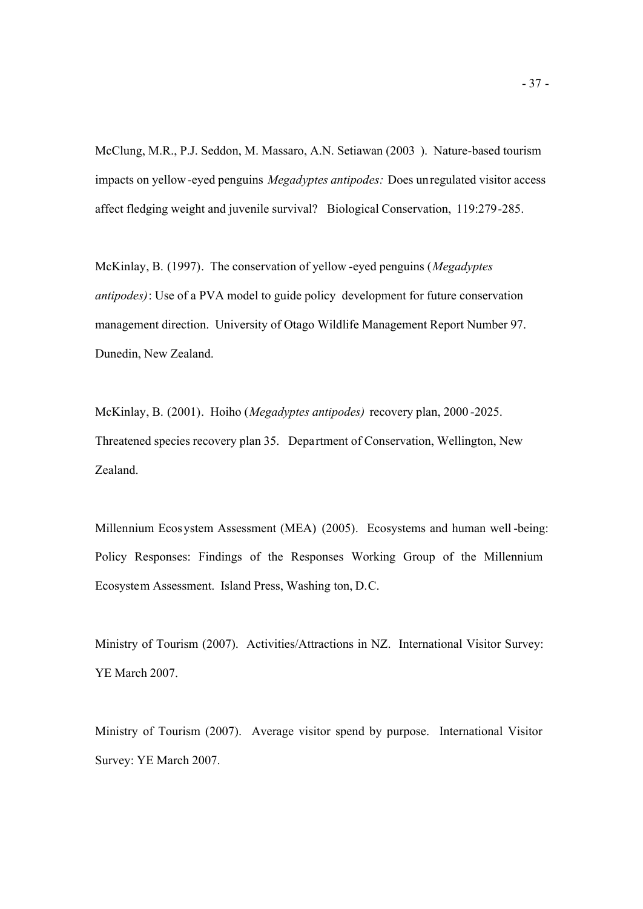McClung, M.R., P.J. Seddon, M. Massaro, A.N. Setiawan (2003 ). Nature-based tourism impacts on yellow-eyed penguins *Megadyptes antipodes:* Does unregulated visitor access affect fledging weight and juvenile survival? Biological Conservation, 119:279-285.

McKinlay, B. (1997). The conservation of yellow -eyed penguins (*Megadyptes antipodes)*: Use of a PVA model to guide policy development for future conservation management direction. University of Otago Wildlife Management Report Number 97. Dunedin, New Zealand.

McKinlay, B. (2001). Hoiho (*Megadyptes antipodes)* recovery plan, 2000 -2025. Threatened species recovery plan 35. Department of Conservation, Wellington, New Zealand.

Millennium Ecosystem Assessment (MEA) (2005). Ecosystems and human well -being: Policy Responses: Findings of the Responses Working Group of the Millennium Ecosystem Assessment. Island Press, Washing ton, D.C.

Ministry of Tourism (2007). Activities/Attractions in NZ. International Visitor Survey: YE March 2007.

Ministry of Tourism (2007). Average visitor spend by purpose. International Visitor Survey: YE March 2007.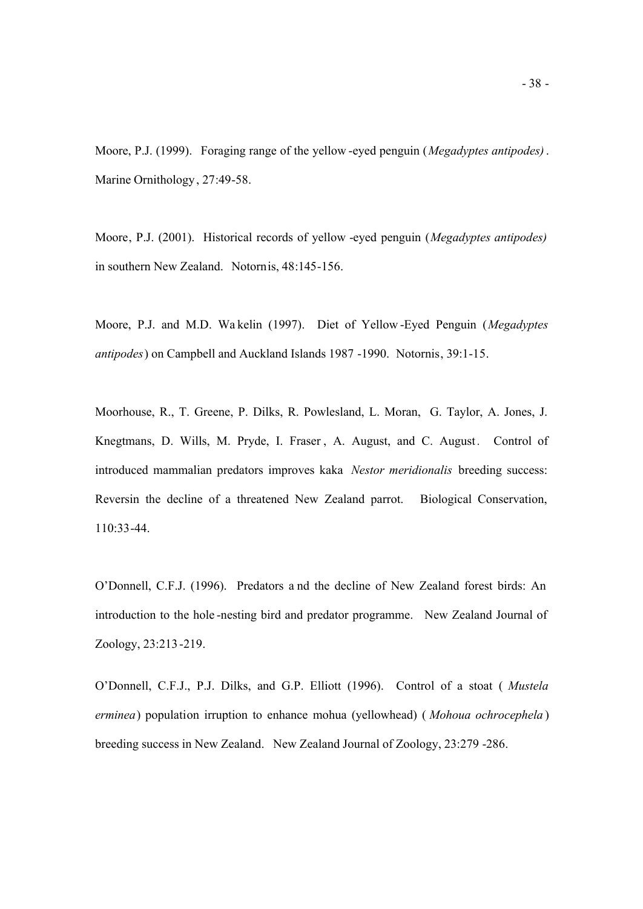Moore, P.J. (1999). Foraging range of the yellow -eyed penguin (*Megadyptes antipodes)*. Marine Ornithology, 27:49-58.

Moore, P.J. (2001). Historical records of yellow -eyed penguin (*Megadyptes antipodes)* in southern New Zealand. Notornis, 48:145-156.

Moore, P.J. and M.D. Wa kelin (1997). Diet of Yellow -Eyed Penguin (*Megadyptes antipodes*) on Campbell and Auckland Islands 1987 -1990. Notornis, 39:1-15.

Moorhouse, R., T. Greene, P. Dilks, R. Powlesland, L. Moran, G. Taylor, A. Jones, J. Knegtmans, D. Wills, M. Pryde, I. Fraser , A. August, and C. August *.* Control of introduced mammalian predators improves kaka *Nestor meridionalis* breeding success: Reversin the decline of a threatened New Zealand parrot. Biological Conservation, 110:33-44.

O'Donnell, C.F.J. (1996). Predators a nd the decline of New Zealand forest birds: An introduction to the hole -nesting bird and predator programme. New Zealand Journal of Zoology, 23:213-219.

O'Donnell, C.F.J., P.J. Dilks, and G.P. Elliott (1996). Control of a stoat ( *Mustela erminea*) population irruption to enhance mohua (yellowhead) ( *Mohoua ochrocephela* ) breeding success in New Zealand. New Zealand Journal of Zoology, 23:279 -286.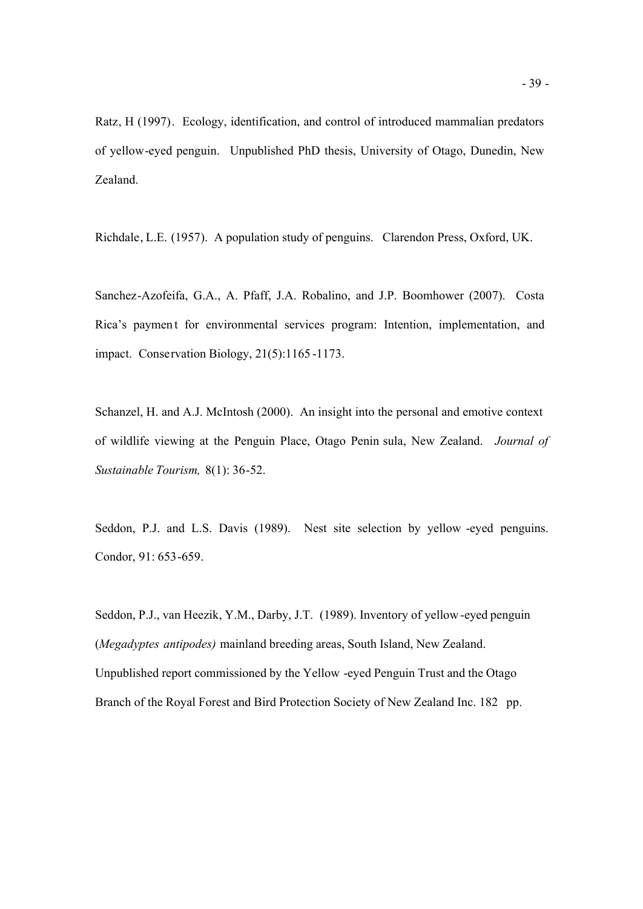Ratz, H (1997). Ecology, identification, and control of introduced mammalian predators of yellow-eyed penguin. Unpublished PhD thesis, University of Otago, Dunedin, New Zealand.

Richdale, L.E. (1957). A population study of penguins.Clarendon Press, Oxford, UK.

Sanchez-Azofeifa, G.A., A. Pfaff, J.A. Robalino, and J.P. Boomhower (2007). Costa Rica's payment for environmental services program: Intention, implementation, and impact. Conservation Biology, 21(5):1165 -1173.

Schanzel, H. and A.J. McIntosh (2000). An insight into the personal and emotive context of wildlife viewing at the Penguin Place, Otago Penin sula, New Zealand. *Journal of Sustainable Tourism,* 8(1): 36-52.

Seddon, P.J. and L.S. Davis (1989). Nest site selection by yellow -eyed penguins. Condor, 91: 653-659.

Seddon, P.J., van Heezik, Y.M., Darby, J.T. (1989). Inventory of yellow-eyed penguin (*Megadyptes antipodes)* mainland breeding areas, South Island, New Zealand. Unpublished report commissioned by the Yellow -eyed Penguin Trust and the Otago Branch of the Royal Forest and Bird Protection Society of New Zealand Inc. 182 pp.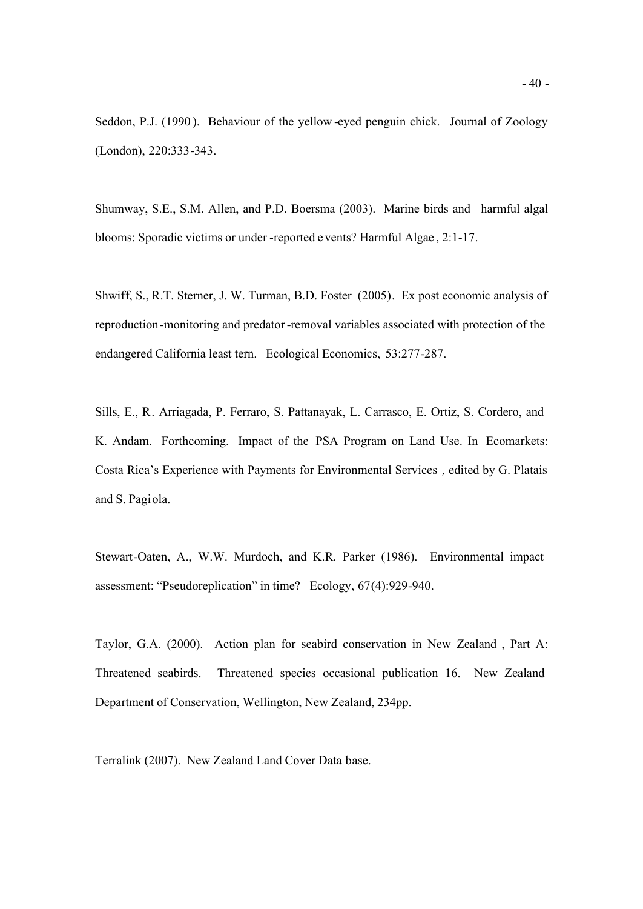Seddon, P.J. (1990 ). Behaviour of the yellow -eyed penguin chick. Journal of Zoology (London), 220:333-343.

Shumway, S.E., S.M. Allen, and P.D. Boersma (2003). Marine birds and harmful algal blooms: Sporadic victims or under -reported e vents? Harmful Algae , 2:1-17.

Shwiff, S., R.T. Sterner, J. W. Turman, B.D. Foster (2005). Ex post economic analysis of reproduction-monitoring and predator-removal variables associated with protection of the endangered California least tern. Ecological Economics, 53:277-287.

Sills, E., R. Arriagada, P. Ferraro, S. Pattanayak, L. Carrasco, E. Ortiz, S. Cordero, and K. Andam. Forthcoming. Impact of the PSA Program on Land Use. In Ecomarkets: Costa Rica's Experience with Payments for Environmental Services *,* edited by G. Platais and S. Pagiola.

Stewart-Oaten, A., W.W. Murdoch, and K.R. Parker (1986). Environmental impact assessment: "Pseudoreplication" in time? Ecology, 67(4):929-940.

Taylor, G.A. (2000). Action plan for seabird conservation in New Zealand , Part A: Threatened seabirds. Threatened species occasional publication 16. New Zealand Department of Conservation, Wellington, New Zealand, 234pp.

Terralink (2007). New Zealand Land Cover Data base.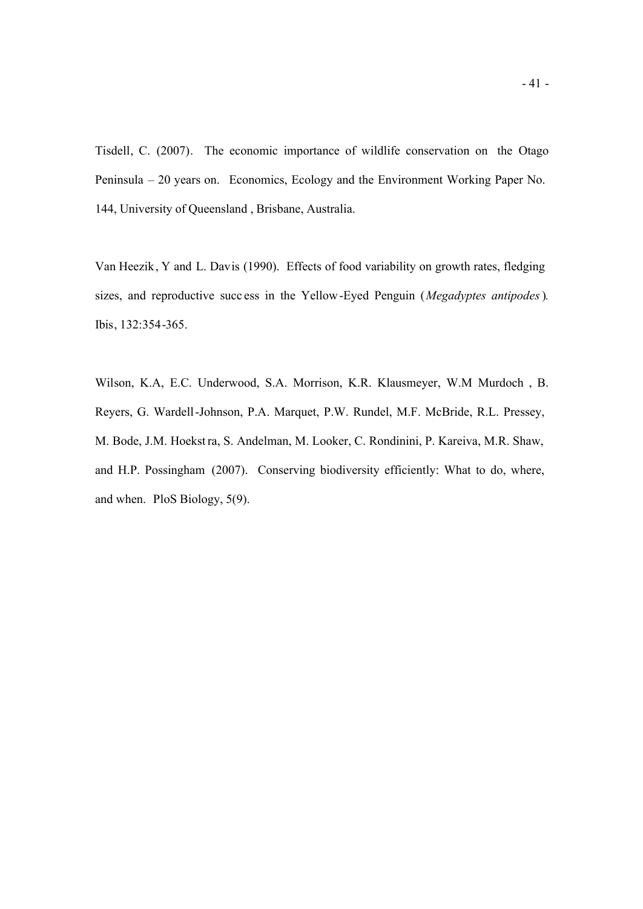Tisdell, C. (2007). The economic importance of wildlife conservation on the Otago Peninsula – 20 years on. Economics, Ecology and the Environment Working Paper No. 144, University of Queensland , Brisbane, Australia.

Van Heezik, Y and L. Davis (1990). Effects of food variability on growth rates, fledging sizes, and reproductive succ ess in the Yellow-Eyed Penguin (*Megadyptes antipodes*)*.* Ibis, 132:354-365.

Wilson, K.A, E.C. Underwood, S.A. Morrison, K.R. Klausmeyer, W.M Murdoch , B. Reyers, G. Wardell-Johnson, P.A. Marquet, P.W. Rundel, M.F. McBride, R.L. Pressey, M. Bode, J.M. Hoekstra, S. Andelman, M. Looker, C. Rondinini, P. Kareiva, M.R. Shaw, and H.P. Possingham (2007). Conserving biodiversity efficiently: What to do, where, and when. PloS Biology, 5(9).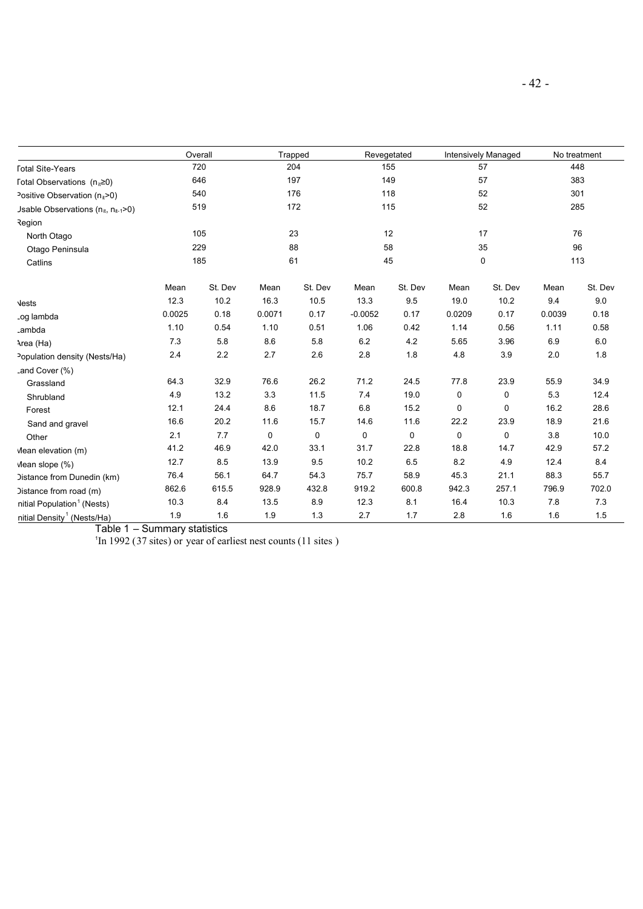|                                                 | Overall |         | Trapped |         | Revegetated |         | Intensively Managed |         | No treatment |         |  |
|-------------------------------------------------|---------|---------|---------|---------|-------------|---------|---------------------|---------|--------------|---------|--|
| <b>Total Site-Years</b>                         |         | 720     |         | 204     | 155         |         | 57                  |         | 448          |         |  |
| Fotal Observations $(n_{it} \ge 0)$             |         | 646     | 197     |         | 149         |         | 57                  |         | 383          |         |  |
| Positive Observation $(n_{\text{H}} > 0)$       |         | 540     |         | 176     |             | 118     |                     | 52      |              | 301     |  |
| Jsable Observations ( $n_{it}$ , $n_{it-1}$ >0) |         | 519     |         | 172     |             | 115     |                     | 52      |              | 285     |  |
| Region                                          |         |         |         |         |             |         |                     |         |              |         |  |
| North Otago                                     |         | 105     |         | 23      | 12          |         | 17                  |         | 76           |         |  |
| Otago Peninsula                                 |         | 229     |         | 88      |             | 58      |                     | 35      | 96           |         |  |
| Catlins                                         | 185     |         |         | 61      |             | 45      |                     | 0       | 113          |         |  |
|                                                 | Mean    | St. Dev | Mean    | St. Dev | Mean        | St. Dev | Mean                | St. Dev | Mean         | St. Dev |  |
| <b>Vests</b>                                    | 12.3    | 10.2    | 16.3    | 10.5    | 13.3        | 9.5     | 19.0                | 10.2    | 9.4          | 9.0     |  |
| .og lambda                                      | 0.0025  | 0.18    | 0.0071  | 0.17    | $-0.0052$   | 0.17    | 0.0209              | 0.17    | 0.0039       | 0.18    |  |
| .ambda                                          | 1.10    | 0.54    | 1.10    | 0.51    | 1.06        | 0.42    | 1.14                | 0.56    | 1.11         | 0.58    |  |
| Area (Ha)                                       | 7.3     | 5.8     | 8.6     | 5.8     | 6.2         | 4.2     | 5.65                | 3.96    | 6.9          | 6.0     |  |
| Population density (Nests/Ha)                   | 2.4     | 2.2     | 2.7     | 2.6     | 2.8         | 1.8     | 4.8                 | 3.9     | 2.0          | 1.8     |  |
| Land Cover (%)                                  |         |         |         |         |             |         |                     |         |              |         |  |
| Grassland                                       | 64.3    | 32.9    | 76.6    | 26.2    | 71.2        | 24.5    | 77.8                | 23.9    | 55.9         | 34.9    |  |
| Shrubland                                       | 4.9     | 13.2    | 3.3     | 11.5    | 7.4         | 19.0    | 0                   | 0       | 5.3          | 12.4    |  |
| Forest                                          | 12.1    | 24.4    | 8.6     | 18.7    | 6.8         | 15.2    | 0                   | 0       | 16.2         | 28.6    |  |
| Sand and gravel                                 | 16.6    | 20.2    | 11.6    | 15.7    | 14.6        | 11.6    | 22.2                | 23.9    | 18.9         | 21.6    |  |
| Other                                           | 2.1     | 7.7     | 0       | 0       | 0           | 0       | 0                   | 0       | 3.8          | 10.0    |  |
| Mean elevation (m)                              | 41.2    | 46.9    | 42.0    | 33.1    | 31.7        | 22.8    | 18.8                | 14.7    | 42.9         | 57.2    |  |
| Mean slope (%)                                  | 12.7    | 8.5     | 13.9    | 9.5     | 10.2        | 6.5     | 8.2                 | 4.9     | 12.4         | 8.4     |  |
| Distance from Dunedin (km)                      | 76.4    | 56.1    | 64.7    | 54.3    | 75.7        | 58.9    | 45.3                | 21.1    | 88.3         | 55.7    |  |
| Distance from road (m)                          | 862.6   | 615.5   | 928.9   | 432.8   | 919.2       | 600.8   | 942.3               | 257.1   | 796.9        | 702.0   |  |
| nitial Population <sup>1</sup> (Nests)          | 10.3    | 8.4     | 13.5    | 8.9     | 12.3        | 8.1     | 16.4                | 10.3    | 7.8          | 7.3     |  |
| nitial Density <sup>1</sup> (Nests/Ha)          | 1.9     | 1.6     | 1.9     | 1.3     | 2.7         | 1.7     | 2.8                 | 1.6     | 1.6          | 1.5     |  |

Table 1 – Summary statistics 1 In 1992 (37 sites) or year of earliest nest counts (11 sites )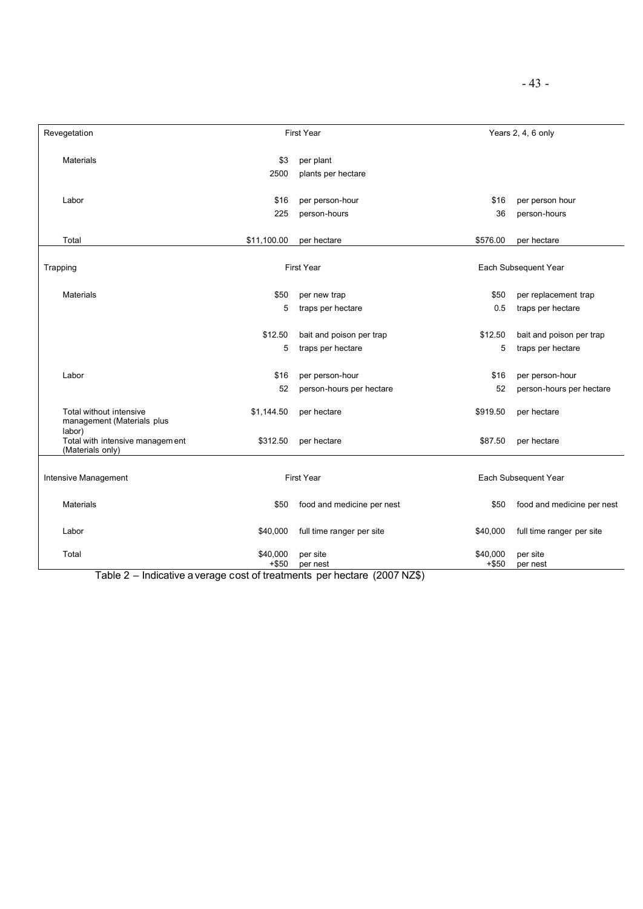| Revegetation                                                  |                     | <b>First Year</b>                             |                      | Years 2, 4, 6 only                            |  |
|---------------------------------------------------------------|---------------------|-----------------------------------------------|----------------------|-----------------------------------------------|--|
| <b>Materials</b>                                              | \$3<br>2500         | per plant<br>plants per hectare               |                      |                                               |  |
| Labor                                                         | \$16<br>225         | per person-hour<br>person-hours               | \$16<br>36           | per person hour<br>person-hours               |  |
| Total                                                         | \$11,100.00         | per hectare                                   | \$576.00             | per hectare                                   |  |
| Trapping                                                      |                     | <b>First Year</b>                             | Each Subsequent Year |                                               |  |
| <b>Materials</b>                                              | \$50<br>5           | per new trap<br>traps per hectare             | \$50<br>0.5          | per replacement trap<br>traps per hectare     |  |
|                                                               | \$12.50<br>5        | bait and poison per trap<br>traps per hectare | \$12.50<br>5         | bait and poison per trap<br>traps per hectare |  |
| Labor                                                         | \$16<br>52          | per person-hour<br>person-hours per hectare   | \$16<br>52           | per person-hour<br>person-hours per hectare   |  |
| Total without intensive<br>management (Materials plus         | \$1,144.50          | per hectare                                   | \$919.50             | per hectare                                   |  |
| labor)<br>Total with intensive management<br>(Materials only) | \$312.50            | per hectare                                   | \$87.50              | per hectare                                   |  |
| Intensive Management                                          | <b>First Year</b>   |                                               |                      | Each Subsequent Year                          |  |
| <b>Materials</b>                                              | \$50                | food and medicine per nest                    | \$50                 | food and medicine per nest                    |  |
| Labor                                                         | \$40,000            | full time ranger per site                     | \$40,000             | full time ranger per site                     |  |
| Total                                                         | \$40,000<br>$+ $50$ | per site<br>per nest                          | \$40,000<br>$+ $50$  | per site<br>per nest                          |  |

Table 2 – Indicative a verage cost of treatments per hectare (2007 NZ\$)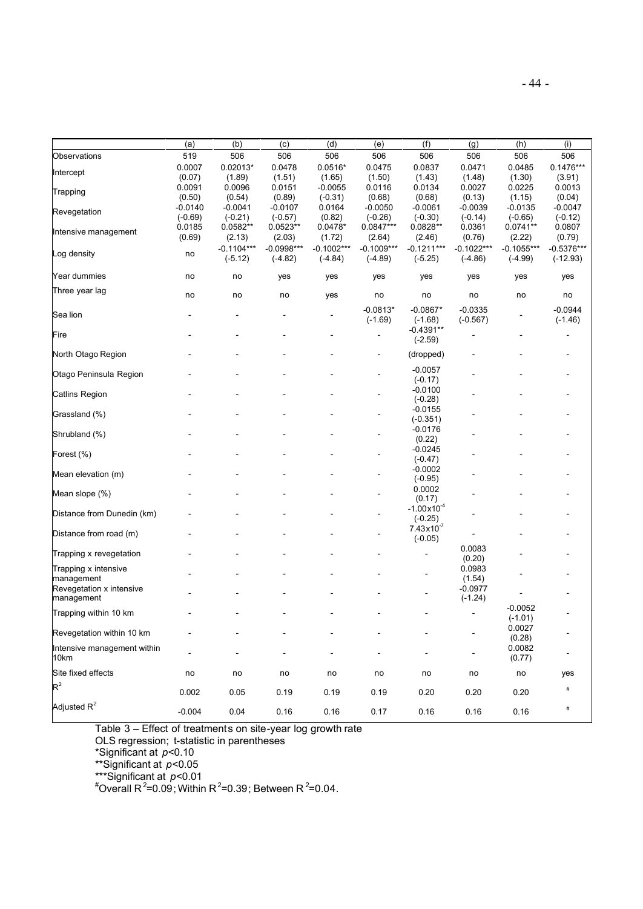|                             | (a)       | (b)                       | (c)                       | (d)                       | (e)                       | (f)                       | (g)                       | (h)                       | (i)                        |
|-----------------------------|-----------|---------------------------|---------------------------|---------------------------|---------------------------|---------------------------|---------------------------|---------------------------|----------------------------|
| Observations                | 519       | 506                       | 506                       | 506                       | 506                       | 506                       | 506                       | 506                       | 506                        |
| Intercept                   | 0.0007    | $0.02013*$                | 0.0478                    | $0.0516*$                 | 0.0475                    | 0.0837                    | 0.0471                    | 0.0485                    | $0.1476***$                |
|                             | (0.07)    | (1.89)                    | (1.51)                    | (1.65)                    | (1.50)                    | (1.43)                    | (1.48)                    | (1.30)                    | (3.91)                     |
| Trapping                    | 0.0091    | 0.0096                    | 0.0151                    | $-0.0055$                 | 0.0116                    | 0.0134                    | 0.0027                    | 0.0225                    | 0.0013                     |
|                             | (0.50)    | (0.54)                    | (0.89)                    | $(-0.31)$                 | (0.68)                    | (0.68)                    | (0.13)                    | (1.15)                    | (0.04)                     |
| Revegetation                | $-0.0140$ | $-0.0041$                 | $-0.0107$                 | 0.0164                    | $-0.0050$                 | $-0.0061$                 | $-0.0039$                 | $-0.0135$                 | $-0.0047$                  |
|                             | $(-0.69)$ | $(-0.21)$                 | $(-0.57)$                 | (0.82)                    | $(-0.26)$                 | $(-0.30)$                 | $(-0.14)$                 | $(-0.65)$                 | $(-0.12)$                  |
| Intensive management        | 0.0185    | 0.0582**                  | $0.0523**$                | $0.0478*$                 | $0.0847***$               | $0.0828**$                | 0.0361                    | $0.0741**$                | 0.0807                     |
|                             | (0.69)    | (2.13)                    | (2.03)                    | (1.72)                    | (2.64)                    | (2.46)                    | (0.76)                    | (2.22)                    | (0.79)                     |
| Log density                 | no        | $-0.1104***$<br>$(-5.12)$ | $-0.0998***$<br>$(-4.82)$ | $-0.1002***$<br>$(-4.84)$ | $-0.1009***$<br>$(-4.89)$ | $-0.1211***$<br>$(-5.25)$ | $-0.1022***$<br>$(-4.86)$ | $-0.1055***$<br>$(-4.99)$ | $-0.5376***$<br>$(-12.93)$ |
| Year dummies                | no        | no                        | yes                       | yes                       | yes                       | yes                       | yes                       | yes                       | yes                        |
| Three year lag              | no        | no                        | no                        | yes                       | no                        | no                        | no                        | no                        | no                         |
| Sea lion                    |           |                           |                           |                           | $-0.0813*$<br>$(-1.69)$   | $-0.0867*$<br>$(-1.68)$   | $-0.0335$<br>$(-0.567)$   |                           | $-0.0944$<br>$(-1.46)$     |
|                             |           |                           |                           |                           |                           | $-0.4391**$               |                           |                           |                            |
| Fire                        |           |                           |                           |                           |                           | $(-2.59)$                 |                           |                           |                            |
| North Otago Region          |           |                           |                           |                           |                           | (dropped)                 |                           |                           |                            |
| Otago Peninsula Region      |           |                           |                           |                           |                           | $-0.0057$                 |                           |                           |                            |
|                             |           |                           |                           |                           |                           | $(-0.17)$                 |                           |                           |                            |
| <b>Catlins Region</b>       |           |                           |                           |                           |                           | $-0.0100$                 |                           |                           |                            |
|                             |           |                           |                           |                           |                           | $(-0.28)$                 |                           |                           |                            |
| Grassland (%)               |           |                           |                           |                           |                           | $-0.0155$                 |                           |                           |                            |
|                             |           |                           |                           |                           |                           | $(-0.351)$                |                           |                           |                            |
| Shrubland (%)               |           |                           |                           |                           |                           | $-0.0176$                 |                           |                           |                            |
|                             |           |                           |                           |                           |                           | (0.22)<br>$-0.0245$       |                           |                           |                            |
| Forest (%)                  |           |                           |                           |                           |                           | $(-0.47)$                 |                           |                           |                            |
|                             |           |                           |                           |                           |                           | $-0.0002$                 |                           |                           |                            |
| Mean elevation (m)          |           |                           |                           |                           |                           | $(-0.95)$                 |                           |                           |                            |
|                             |           |                           |                           |                           |                           | 0.0002                    |                           |                           |                            |
| Mean slope (%)              |           |                           |                           |                           |                           | (0.17)                    |                           |                           |                            |
|                             |           |                           |                           |                           |                           | $-1.00 \times 10^{-4}$    |                           |                           |                            |
| Distance from Dunedin (km)  |           |                           |                           |                           |                           | $(-0.25)$                 |                           |                           |                            |
|                             |           |                           |                           |                           |                           | $7.43 \times 10^{-7}$     |                           |                           |                            |
| Distance from road (m)      |           |                           |                           |                           |                           | $(-0.05)$                 |                           |                           |                            |
| Trapping x revegetation     |           |                           |                           |                           |                           |                           | 0.0083                    |                           |                            |
|                             |           |                           |                           |                           |                           |                           | (0.20)                    |                           |                            |
| Trapping x intensive        |           |                           |                           |                           |                           |                           | 0.0983                    |                           |                            |
| management                  |           |                           |                           |                           |                           |                           | (1.54)                    |                           |                            |
| Revegetation x intensive    |           |                           |                           |                           |                           |                           | $-0.0977$                 |                           |                            |
| management                  |           |                           |                           |                           |                           |                           | $(-1.24)$                 |                           |                            |
| Trapping within 10 km       |           |                           |                           |                           |                           |                           |                           | $-0.0052$                 |                            |
|                             |           |                           |                           |                           |                           |                           |                           | $(-1.01)$<br>0.0027       |                            |
| Revegetation within 10 km   |           |                           |                           |                           |                           |                           |                           | (0.28)                    |                            |
| Intensive management within |           |                           |                           |                           |                           |                           |                           | 0.0082                    |                            |
| 10km                        |           |                           |                           |                           |                           |                           |                           | (0.77)                    |                            |
| Site fixed effects          | no        | no                        | no                        | no                        | no                        | no                        | no                        | no                        | yes                        |
| $R^2$                       | 0.002     | 0.05                      | 0.19                      | 0.19                      | 0.19                      | 0.20                      | 0.20                      | 0.20                      | $\#$                       |
| Adjusted $R^2$              | $-0.004$  | 0.04                      | 0.16                      | 0.16                      | 0.17                      | 0.16                      | 0.16                      | 0.16                      | $\#$                       |

Table 3 – Effect of treatments on site-year log growth rate

OLS regression; t-statistic in parentheses

\*Significant at *p*<0.10

\*\*Significant at *p*<0.05

\*\*\*Significant at *p*<0.01

"Overall R<sup>2</sup>=0.09; Within R<sup>2</sup>=0.39; Between R<sup>2</sup>=0.04.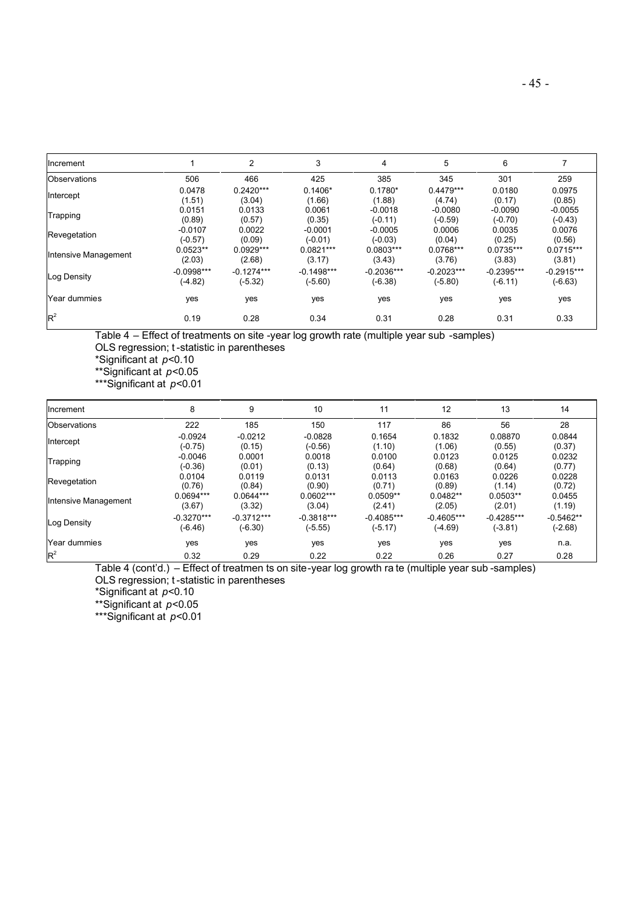| Increment            |              | $\overline{c}$ | 3            | 4            | 5            | 6            |              |
|----------------------|--------------|----------------|--------------|--------------|--------------|--------------|--------------|
| Observations         | 506          | 466            | 425          | 385          | 345          | 301          | 259          |
| Intercept            | 0.0478       | $0.2420***$    | $0.1406*$    | $0.1780*$    | $0.4479***$  | 0.0180       | 0.0975       |
|                      | (1.51)       | (3.04)         | (1.66)       | (1.88)       | (4.74)       | (0.17)       | (0.85)       |
| Trapping             | 0.0151       | 0.0133         | 0.0061       | $-0.0018$    | $-0.0080$    | $-0.0090$    | $-0.0055$    |
|                      | (0.89)       | (0.57)         | (0.35)       | $(-0.11)$    | $(-0.59)$    | $(-0.70)$    | $(-0.43)$    |
| Revegetation         | $-0.0107$    | 0.0022         | $-0.0001$    | $-0.0005$    | 0.0006       | 0.0035       | 0.0076       |
|                      | $(-0.57)$    | (0.09)         | $(-0.01)$    | $(-0.03)$    | (0.04)       | (0.25)       | (0.56)       |
| Intensive Management | $0.0523**$   | $0.0929***$    | $0.0821***$  | $0.0803***$  | 0.0768***    | $0.0735***$  | $0.0715***$  |
|                      | (2.03)       | (2.68)         | (3.17)       | (3.43)       | (3.76)       | (3.83)       | (3.81)       |
| Log Density          | $-0.0998***$ | $-0.1274***$   | $-0.1498***$ | $-0.2036***$ | $-0.2023***$ | $-0.2395***$ | $-0.2915***$ |
|                      | $(-4.82)$    | $(-5.32)$      | $(-5.60)$    | $(-6.38)$    | $(-5.80)$    | $(-6.11)$    | $(-6.63)$    |
| Year dummies         | yes          | yes            | yes          | yes          | yes          | yes          | yes          |
| $R^2$                | 0.19         | 0.28           | 0.34         | 0.31         | 0.28         | 0.31         | 0.33         |

Table 4 – Effect of treatments on site -year log growth rate (multiple year sub -samples) OLS regression; t -statistic in parentheses

\*Significant at *p*<0.10

\*\*Significant at *p*<0.05

\*\*\*Significant at *p*<0.01

| Increment            | 8            | 9            | 10           | 11           | 12           | 13           | 14          |
|----------------------|--------------|--------------|--------------|--------------|--------------|--------------|-------------|
| Observations         | 222          | 185          | 150          | 117          | 86           | 56           | 28          |
| Intercept            | $-0.0924$    | $-0.0212$    | $-0.0828$    | 0.1654       | 0.1832       | 0.08870      | 0.0844      |
|                      | $(-0.75)$    | (0.15)       | $(-0.56)$    | (1.10)       | (1.06)       | (0.55)       | (0.37)      |
| Trapping             | $-0.0046$    | 0.0001       | 0.0018       | 0.0100       | 0.0123       | 0.0125       | 0.0232      |
|                      | $(-0.36)$    | (0.01)       | (0.13)       | (0.64)       | (0.68)       | (0.64)       | (0.77)      |
| Revegetation         | 0.0104       | 0.0119       | 0.0131       | 0.0113       | 0.0163       | 0.0226       | 0.0228      |
|                      | (0.76)       | (0.84)       | (0.90)       | (0.71)       | (0.89)       | (1.14)       | (0.72)      |
| Intensive Management | 0.0694***    | $0.0644***$  | $0.0602***$  | $0.0509**$   | $0.0482**$   | $0.0503**$   | 0.0455      |
|                      | (3.67)       | (3.32)       | (3.04)       | (2.41)       | (2.05)       | (2.01)       | (1.19)      |
| Log Density          | $-0.3270***$ | $-0.3712***$ | $-0.3818***$ | $-0.4085***$ | $-0.4605***$ | $-0.4285***$ | $-0.5462**$ |
|                      | $(-6.46)$    | $(-6.30)$    | (-5.55)      | $(-5.17)$    | (-4.69)      | $(-3.81)$    | $(-2.68)$   |
| Year dummies         | yes          | yes          | yes          | yes          | yes          | yes          | n.a.        |
| $R^2$                | 0.32         | 0.29         | 0.22         | 0.22         | 0.26         | 0.27         | 0.28        |

Table 4 (cont'd.) – Effect of treatmen ts on site-year log growth ra te (multiple year sub -samples) OLS regression; t -statistic in parentheses

\*Significant at *p*<0.10

\*\*Significant at *p*<0.05

\*\*\*Significant at *p*<0.01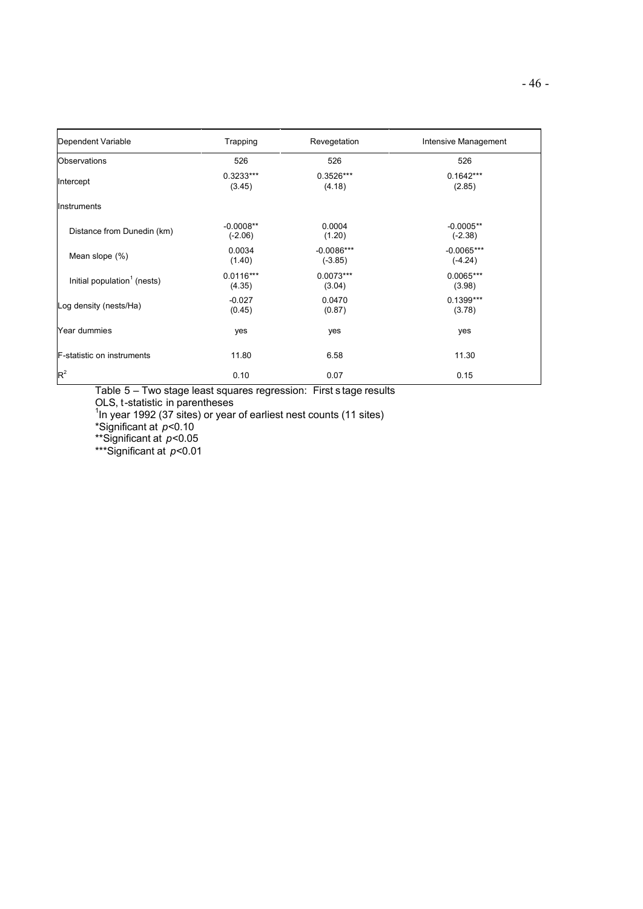| Dependent Variable                      | Trapping                 | Revegetation              | Intensive Management      |
|-----------------------------------------|--------------------------|---------------------------|---------------------------|
| Observations                            | 526                      | 526                       | 526                       |
| Intercept                               | $0.3233***$<br>(3.45)    | 0.3526***<br>(4.18)       | $0.1642***$<br>(2.85)     |
| Instruments                             |                          |                           |                           |
| Distance from Dunedin (km)              | $-0.0008**$<br>$(-2.06)$ | 0.0004<br>(1.20)          | $-0.0005**$<br>$(-2.38)$  |
| Mean slope (%)                          | 0.0034<br>(1.40)         | $-0.0086***$<br>$(-3.85)$ | $-0.0065***$<br>$(-4.24)$ |
| Initial population <sup>1</sup> (nests) | $0.0116***$<br>(4.35)    | $0.0073***$<br>(3.04)     | $0.0065***$<br>(3.98)     |
| Log density (nests/Ha)                  | $-0.027$<br>(0.45)       | 0.0470<br>(0.87)          | $0.1399***$<br>(3.78)     |
| Year dummies                            | yes                      | yes                       | yes                       |
| <b>F-statistic on instruments</b>       | 11.80                    | 6.58                      | 11.30                     |
| $R^2$                                   | 0.10                     | 0.07                      | 0.15                      |

Table 5 – Two stage least squares regression: First s tage results

OLS, t-statistic in parentheses 1 In year 1992 (37 sites) or year of earliest nest counts (11 sites)

\*Significant at *p*<0.10

\*\*Significant at *p*<0.05

\*\*\*Significant at *p*<0.01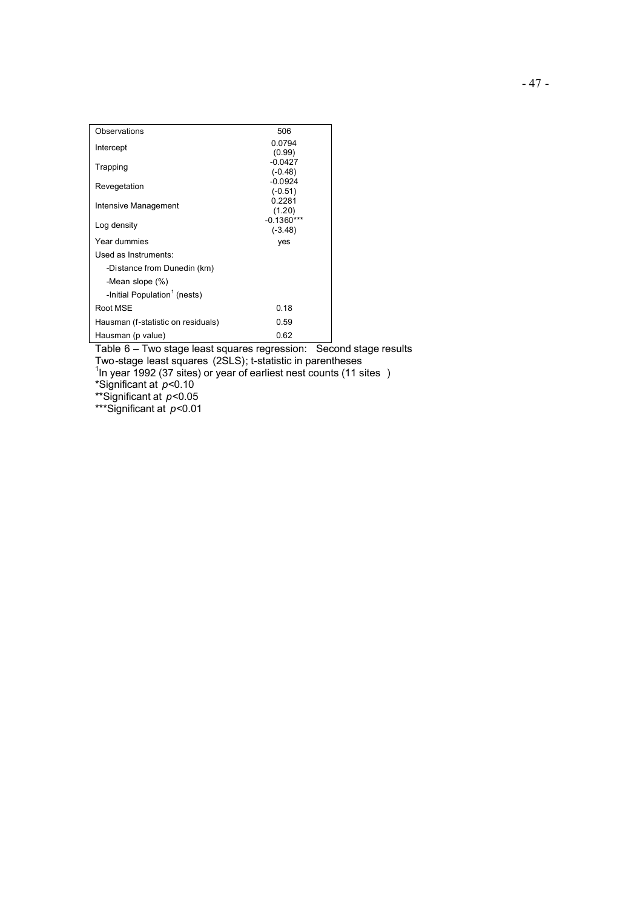| 506<br>Observations                        |  |
|--------------------------------------------|--|
| 0.0794<br>Intercept                        |  |
| (0.99)                                     |  |
| $-0.0427$<br>Trapping                      |  |
| $(-0.48)$<br>$-0.0924$                     |  |
| Revegetation<br>$(-0.51)$                  |  |
| 0.2281                                     |  |
| Intensive Management<br>(1.20)             |  |
| $-0.1360***$<br>Log density                |  |
| $(-3.48)$                                  |  |
| Year dummies<br>yes                        |  |
| Used as Instruments:                       |  |
| -Distance from Dunedin (km)                |  |
| -Mean slope (%)                            |  |
| -Initial Population <sup>1</sup> (nests)   |  |
| Root MSE<br>0.18                           |  |
| Hausman (f-statistic on residuals)<br>0.59 |  |
| 0.62<br>Hausman (p value)                  |  |

Table 6 – Two stage least squares regression: Second stage results

Two-stage least squares (2SLS); t-statistic in parentheses 1 In year 1992 (37 sites) or year of earliest nest counts (11 sites )

\*Significant at *p*<0.10

\*\*Significant at *p*<0.05

\*\*\*Significant at *p*<0.01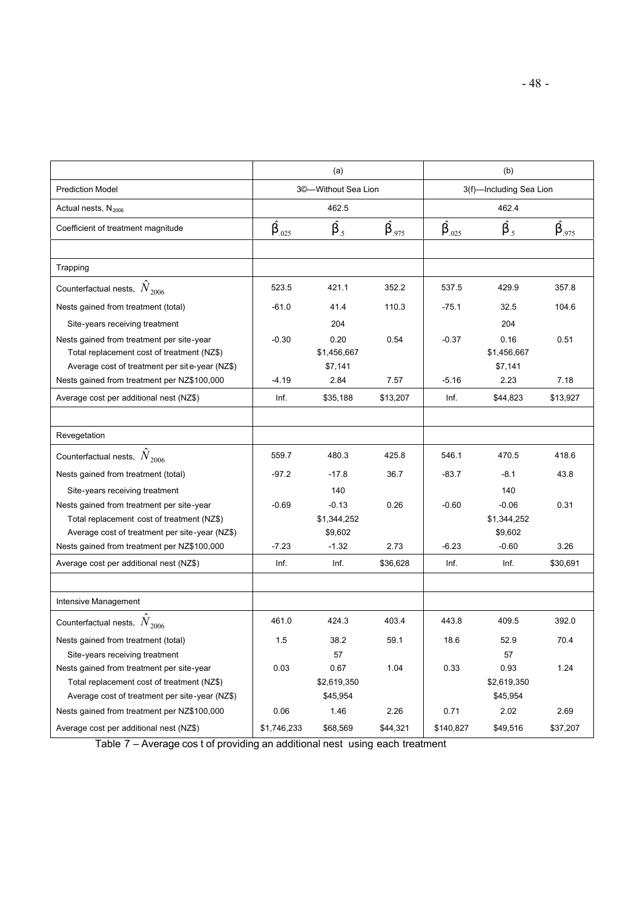|                                                | (a)         |                     |            | (b)                     |             |            |  |
|------------------------------------------------|-------------|---------------------|------------|-------------------------|-------------|------------|--|
| <b>Prediction Model</b>                        |             | 3©-Without Sea Lion |            | 3(f)-Including Sea Lion |             |            |  |
| Actual nests, $N_{2006}$                       | 462.5       |                     |            | 462.4                   |             |            |  |
| Coefficient of treatment magnitude             | $b_{.025}$  | $b_{.5}$            | $b_{.975}$ | $b_{.025}$              | $b_{.5}$    | $b_{.975}$ |  |
|                                                |             |                     |            |                         |             |            |  |
| Trapping                                       |             |                     |            |                         |             |            |  |
| Counterfactual nests, $N_{2006}$               | 523.5       | 421.1               | 352.2      | 537.5                   | 429.9       | 357.8      |  |
| Nests gained from treatment (total)            | $-61.0$     | 41.4                | 110.3      | $-75.1$                 | 32.5        | 104.6      |  |
| Site-years receiving treatment                 |             | 204                 |            |                         | 204         |            |  |
| Nests gained from treatment per site-year      | $-0.30$     | 0.20                | 0.54       | $-0.37$                 | 0.16        | 0.51       |  |
| Total replacement cost of treatment (NZ\$)     |             | \$1,456,667         |            |                         | \$1,456,667 |            |  |
| Average cost of treatment per site-year (NZ\$) |             | \$7,141             |            |                         | \$7,141     |            |  |
| Nests gained from treatment per NZ\$100,000    | $-4.19$     | 2.84                | 7.57       | $-5.16$                 | 2.23        | 7.18       |  |
| Average cost per additional nest (NZ\$)        | Inf.        | \$35,188            | \$13,207   | Inf.                    | \$44,823    | \$13,927   |  |
|                                                |             |                     |            |                         |             |            |  |
| Revegetation                                   |             |                     |            |                         |             |            |  |
| Counterfactual nests, $N_{2006}$               | 559.7       | 480.3               | 425.8      | 546.1                   | 470.5       | 418.6      |  |
| Nests gained from treatment (total)            | $-97.2$     | $-17.8$             | 36.7       | $-83.7$                 | $-8.1$      | 43.8       |  |
| Site-years receiving treatment                 |             | 140                 |            |                         | 140         |            |  |
| Nests gained from treatment per site-year      | $-0.69$     | $-0.13$             | 0.26       | $-0.60$                 | $-0.06$     | 0.31       |  |
| Total replacement cost of treatment (NZ\$)     |             | \$1,344,252         |            |                         | \$1,344,252 |            |  |
| Average cost of treatment per site-year (NZ\$) |             | \$9,602             |            |                         | \$9,602     |            |  |
| Nests gained from treatment per NZ\$100,000    | $-7.23$     | $-1.32$             | 2.73       | $-6.23$                 | $-0.60$     | 3.26       |  |
| Average cost per additional nest (NZ\$)        | Inf.        | Inf.                | \$36,628   | Inf.                    | Inf.        | \$30,691   |  |
|                                                |             |                     |            |                         |             |            |  |
| Intensive Management                           |             |                     |            |                         |             |            |  |
| Counterfactual nests, $N_{2006}$               | 461.0       | 424.3               | 403.4      | 443.8                   | 409.5       | 392.0      |  |
| Nests gained from treatment (total)            | 1.5         | 38.2                | 59.1       | 18.6                    | 52.9        | 70.4       |  |
| Site-years receiving treatment                 |             | 57                  |            |                         | 57          |            |  |
| Nests gained from treatment per site-year      | 0.03        | 0.67                | 1.04       | 0.33                    | 0.93        | 1.24       |  |
| Total replacement cost of treatment (NZ\$)     |             | \$2,619,350         |            |                         | \$2,619,350 |            |  |
| Average cost of treatment per site-year (NZ\$) |             | \$45,954            |            |                         | \$45,954    |            |  |
| Nests gained from treatment per NZ\$100,000    | 0.06        | 1.46                | 2.26       | 0.71                    | 2.02        | 2.69       |  |
| Average cost per additional nest (NZ\$)        | \$1,746,233 | \$68,569            | \$44,321   | \$140,827               | \$49,516    | \$37,207   |  |

Table 7 – Average cos t of providing an additional nest using each treatment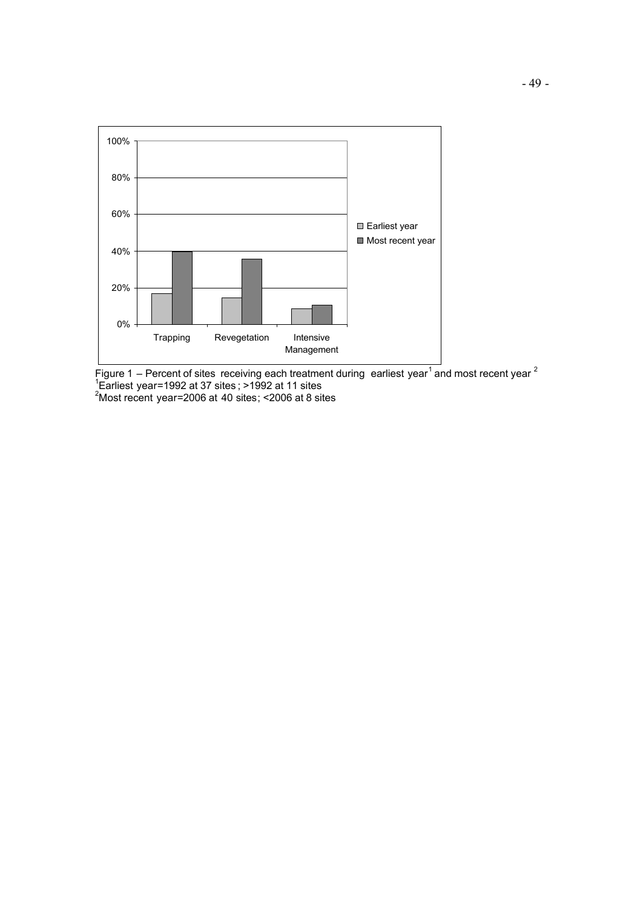

Figure 1 – Percent of sites receiving each treatment during earliest year<sup>1</sup> and most recent year <sup>2</sup><br><sup>1</sup>Earliest year=1992 at 37 sites ; >1992 at 11 sites

 $2^2$ Most recent year=2006 at 40 sites; <2006 at 8 sites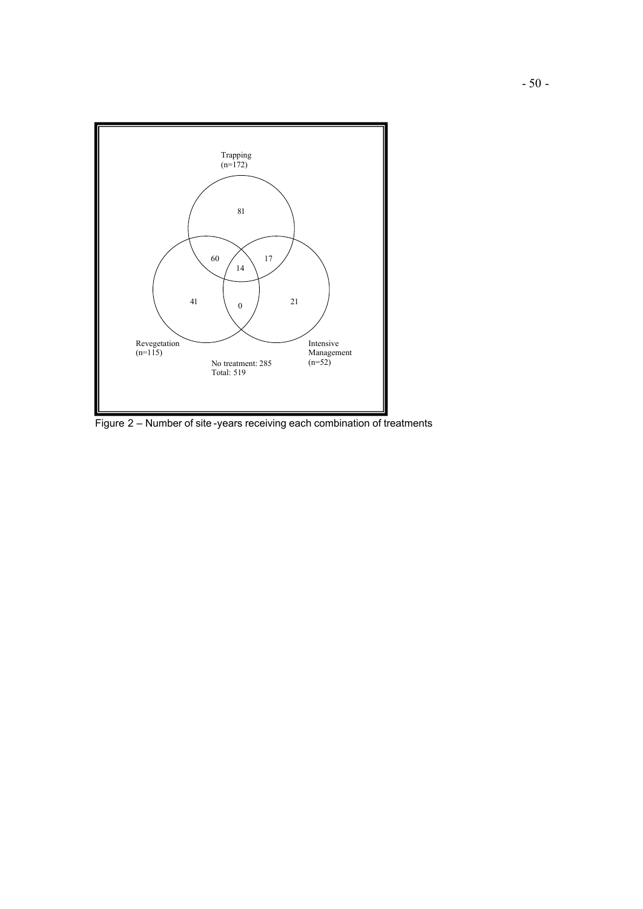

Figure 2 – Number of site -years receiving each combination of treatments